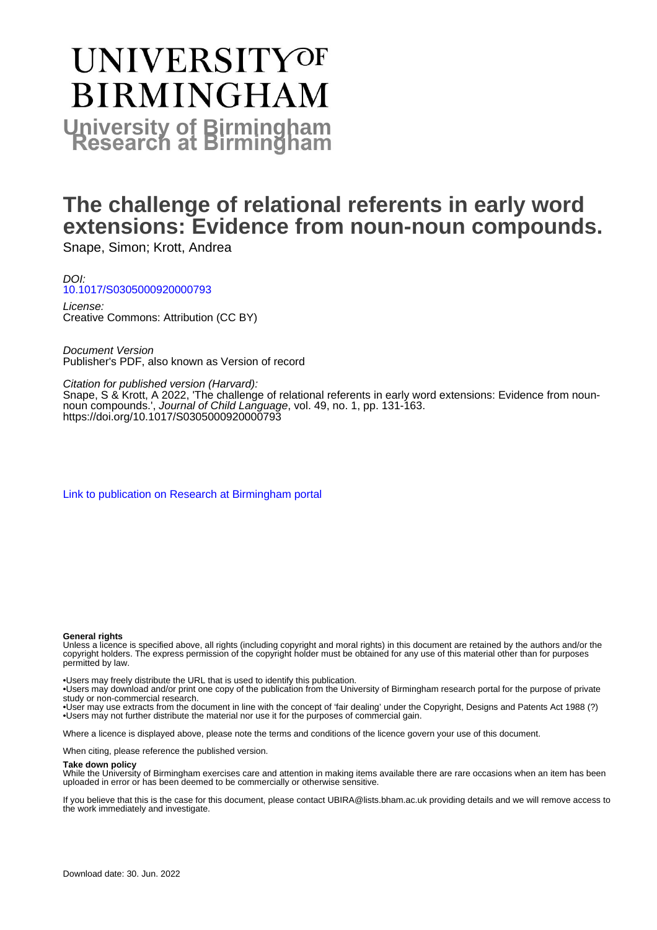# **UNIVERSITYOF BIRMINGHAM University of Birmingham**

## **The challenge of relational referents in early word extensions: Evidence from noun-noun compounds.**

Snape, Simon; Krott, Andrea

DOI: [10.1017/S0305000920000793](https://doi.org/10.1017/S0305000920000793)

License: Creative Commons: Attribution (CC BY)

Document Version Publisher's PDF, also known as Version of record

Citation for published version (Harvard):

Snape, S & Krott, A 2022, 'The challenge of relational referents in early word extensions: Evidence from nounnoun compounds.', Journal of Child Language, vol. 49, no. 1, pp. 131-163. <https://doi.org/10.1017/S0305000920000793>

[Link to publication on Research at Birmingham portal](https://birmingham.elsevierpure.com/en/publications/c6ff6c20-f331-428b-bd47-7f1152308bb3)

#### **General rights**

Unless a licence is specified above, all rights (including copyright and moral rights) in this document are retained by the authors and/or the copyright holders. The express permission of the copyright holder must be obtained for any use of this material other than for purposes permitted by law.

• Users may freely distribute the URL that is used to identify this publication.

• Users may download and/or print one copy of the publication from the University of Birmingham research portal for the purpose of private study or non-commercial research.

• User may use extracts from the document in line with the concept of 'fair dealing' under the Copyright, Designs and Patents Act 1988 (?) • Users may not further distribute the material nor use it for the purposes of commercial gain.

Where a licence is displayed above, please note the terms and conditions of the licence govern your use of this document.

When citing, please reference the published version.

#### **Take down policy**

While the University of Birmingham exercises care and attention in making items available there are rare occasions when an item has been uploaded in error or has been deemed to be commercially or otherwise sensitive.

If you believe that this is the case for this document, please contact UBIRA@lists.bham.ac.uk providing details and we will remove access to the work immediately and investigate.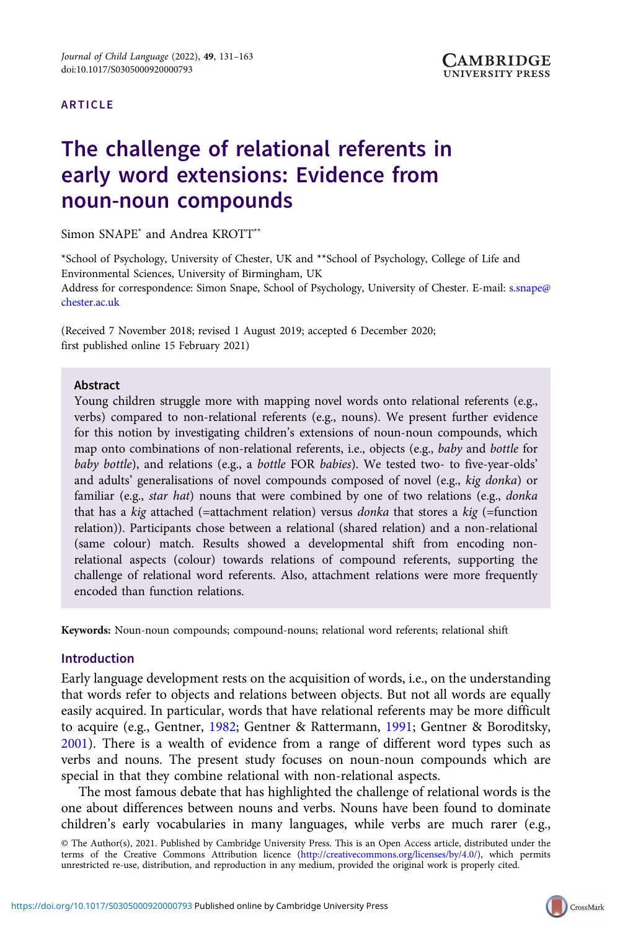#### ARTICLE

### The challenge of relational referents in early word extensions: Evidence from noun-noun compounds

Simon SNAPE\* and Andrea KROTT\*\*

\*School of Psychology, University of Chester, UK and \*\*School of Psychology, College of Life and Environmental Sciences, University of Birmingham, UK

Address for correspondence: Simon Snape, School of Psychology, University of Chester. E-mail: [s.snape@](mailto:s.snape@chester.ac.uk) [chester.ac.uk](mailto:s.snape@chester.ac.uk)

(Received 7 November 2018; revised 1 August 2019; accepted 6 December 2020; first published online 15 February 2021)

#### Abstract

Young children struggle more with mapping novel words onto relational referents (e.g., verbs) compared to non-relational referents (e.g., nouns). We present further evidence for this notion by investigating children's extensions of noun-noun compounds, which map onto combinations of non-relational referents, i.e., objects (e.g., baby and bottle for baby bottle), and relations (e.g., a bottle FOR babies). We tested two- to five-year-olds' and adults' generalisations of novel compounds composed of novel (e.g., kig donka) or familiar (e.g., *star hat*) nouns that were combined by one of two relations (e.g., *donka* that has a kig attached (=attachment relation) versus *donka* that stores a kig (=function relation)). Participants chose between a relational (shared relation) and a non-relational (same colour) match. Results showed a developmental shift from encoding nonrelational aspects (colour) towards relations of compound referents, supporting the challenge of relational word referents. Also, attachment relations were more frequently encoded than function relations.

Keywords: Noun-noun compounds; compound-nouns; relational word referents; relational shift

#### Introduction

Early language development rests on the acquisition of words, i.e., on the understanding that words refer to objects and relations between objects. But not all words are equally easily acquired. In particular, words that have relational referents may be more difficult to acquire (e.g., Gentner, [1982](#page-31-0); Gentner & Rattermann, [1991;](#page-31-0) Gentner & Boroditsky, [2001](#page-31-0)). There is a wealth of evidence from a range of different word types such as verbs and nouns. The present study focuses on noun-noun compounds which are special in that they combine relational with non-relational aspects.

The most famous debate that has highlighted the challenge of relational words is the one about differences between nouns and verbs. Nouns have been found to dominate children's early vocabularies in many languages, while verbs are much rarer (e.g.,

© The Author(s), 2021. Published by Cambridge University Press. This is an Open Access article, distributed under the<br>terms of the Creative Commons Attribution licence ([http://creativecommons.org/licenses/by/4.0/\)](http://creativecommons.org/licenses/by/4.0/), unrestricted re-use, distribution, and reproduction in any medium, provided the original work is properly cited.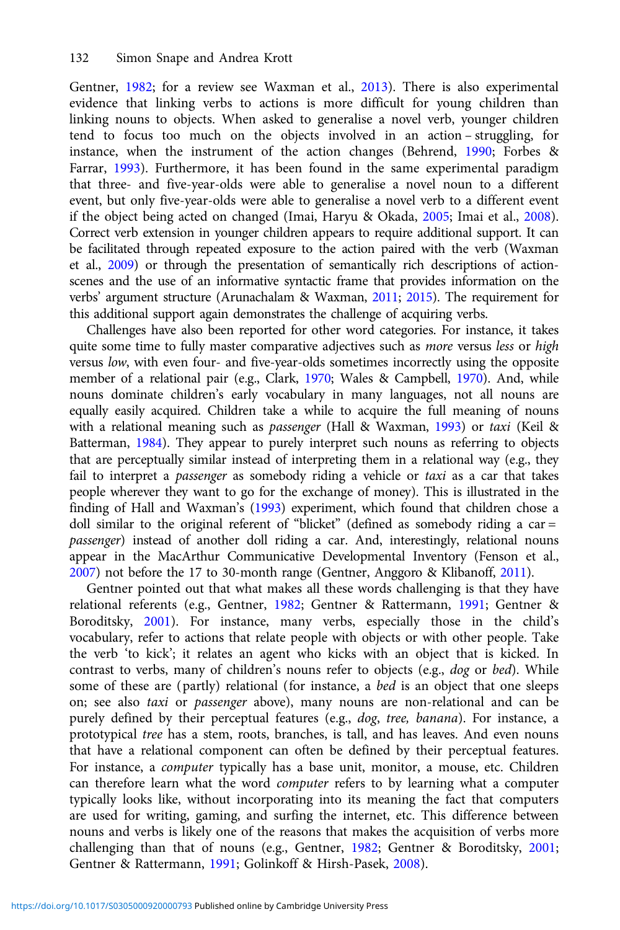Gentner, [1982;](#page-31-0) for a review see Waxman et al., [2013\)](#page-33-0). There is also experimental evidence that linking verbs to actions is more difficult for young children than linking nouns to objects. When asked to generalise a novel verb, younger children tend to focus too much on the objects involved in an action – struggling, for instance, when the instrument of the action changes (Behrend, [1990;](#page-31-0) Forbes & Farrar, [1993\)](#page-31-0). Furthermore, it has been found in the same experimental paradigm that three- and five-year-olds were able to generalise a novel noun to a different event, but only five-year-olds were able to generalise a novel verb to a different event if the object being acted on changed (Imai, Haryu & Okada, [2005](#page-32-0); Imai et al., [2008\)](#page-32-0). Correct verb extension in younger children appears to require additional support. It can be facilitated through repeated exposure to the action paired with the verb (Waxman et al., [2009\)](#page-33-0) or through the presentation of semantically rich descriptions of actionscenes and the use of an informative syntactic frame that provides information on the verbs' argument structure (Arunachalam & Waxman, [2011;](#page-31-0) [2015\)](#page-31-0). The requirement for this additional support again demonstrates the challenge of acquiring verbs.

Challenges have also been reported for other word categories. For instance, it takes quite some time to fully master comparative adjectives such as *more* versus less or high versus low, with even four- and five-year-olds sometimes incorrectly using the opposite member of a relational pair (e.g., Clark, [1970;](#page-31-0) Wales & Campbell, [1970](#page-33-0)). And, while nouns dominate children's early vocabulary in many languages, not all nouns are equally easily acquired. Children take a while to acquire the full meaning of nouns with a relational meaning such as passenger (Hall & Waxman, [1993](#page-32-0)) or taxi (Keil & Batterman, [1984\)](#page-32-0). They appear to purely interpret such nouns as referring to objects that are perceptually similar instead of interpreting them in a relational way (e.g., they fail to interpret a *passenger* as somebody riding a vehicle or *taxi* as a car that takes people wherever they want to go for the exchange of money). This is illustrated in the finding of Hall and Waxman's ([1993](#page-32-0)) experiment, which found that children chose a doll similar to the original referent of "blicket" (defined as somebody riding a car = passenger) instead of another doll riding a car. And, interestingly, relational nouns appear in the MacArthur Communicative Developmental Inventory (Fenson et al., [2007\)](#page-31-0) not before the 17 to 30-month range (Gentner, Anggoro & Klibanoff, [2011](#page-31-0)).

Gentner pointed out that what makes all these words challenging is that they have relational referents (e.g., Gentner, [1982](#page-31-0); Gentner & Rattermann, [1991](#page-31-0); Gentner & Boroditsky, [2001\)](#page-31-0). For instance, many verbs, especially those in the child's vocabulary, refer to actions that relate people with objects or with other people. Take the verb 'to kick'; it relates an agent who kicks with an object that is kicked. In contrast to verbs, many of children's nouns refer to objects (e.g., dog or bed). While some of these are (partly) relational (for instance, a bed is an object that one sleeps on; see also taxi or passenger above), many nouns are non-relational and can be purely defined by their perceptual features (e.g., dog, tree, banana). For instance, a prototypical tree has a stem, roots, branches, is tall, and has leaves. And even nouns that have a relational component can often be defined by their perceptual features. For instance, a computer typically has a base unit, monitor, a mouse, etc. Children can therefore learn what the word computer refers to by learning what a computer typically looks like, without incorporating into its meaning the fact that computers are used for writing, gaming, and surfing the internet, etc. This difference between nouns and verbs is likely one of the reasons that makes the acquisition of verbs more challenging than that of nouns (e.g., Gentner, [1982;](#page-31-0) Gentner & Boroditsky, [2001](#page-31-0); Gentner & Rattermann, [1991](#page-31-0); Golinkoff & Hirsh-Pasek, [2008](#page-31-0)).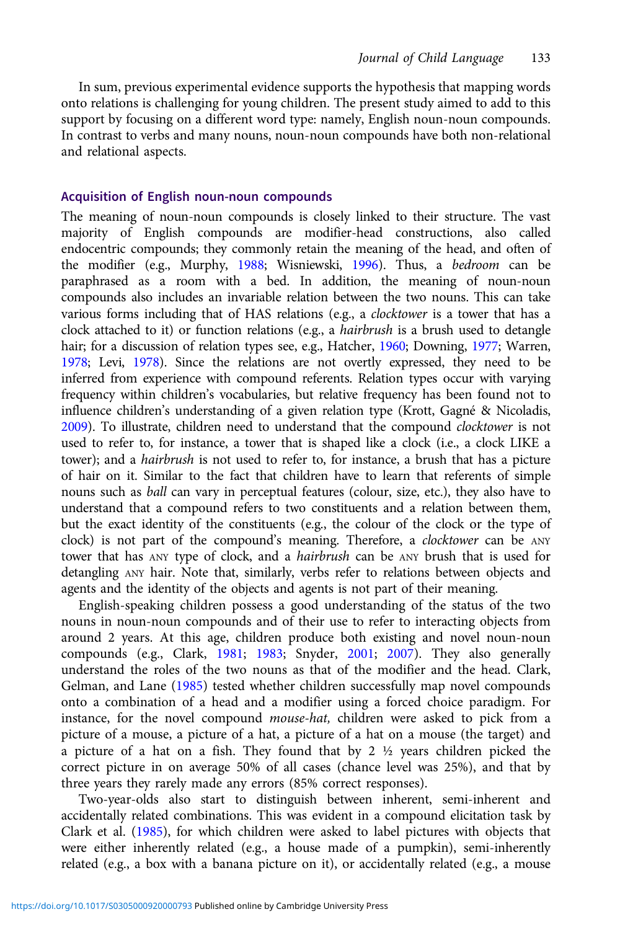In sum, previous experimental evidence supports the hypothesis that mapping words onto relations is challenging for young children. The present study aimed to add to this support by focusing on a different word type: namely, English noun-noun compounds. In contrast to verbs and many nouns, noun-noun compounds have both non-relational and relational aspects.

#### Acquisition of English noun-noun compounds

The meaning of noun-noun compounds is closely linked to their structure. The vast majority of English compounds are modifier-head constructions, also called endocentric compounds; they commonly retain the meaning of the head, and often of the modifier (e.g., Murphy, [1988](#page-32-0); Wisniewski, [1996\)](#page-33-0). Thus, a bedroom can be paraphrased as a room with a bed. In addition, the meaning of noun-noun compounds also includes an invariable relation between the two nouns. This can take various forms including that of HAS relations (e.g., a clocktower is a tower that has a clock attached to it) or function relations (e.g., a hairbrush is a brush used to detangle hair; for a discussion of relation types see, e.g., Hatcher, [1960;](#page-32-0) Downing, [1977](#page-31-0); Warren, [1978;](#page-33-0) Levi, [1978\)](#page-32-0). Since the relations are not overtly expressed, they need to be inferred from experience with compound referents. Relation types occur with varying frequency within children's vocabularies, but relative frequency has been found not to influence children's understanding of a given relation type (Krott, Gagné & Nicoladis, [2009\)](#page-32-0). To illustrate, children need to understand that the compound clocktower is not used to refer to, for instance, a tower that is shaped like a clock (i.e., a clock LIKE a tower); and a hairbrush is not used to refer to, for instance, a brush that has a picture of hair on it. Similar to the fact that children have to learn that referents of simple nouns such as ball can vary in perceptual features (colour, size, etc.), they also have to understand that a compound refers to two constituents and a relation between them, but the exact identity of the constituents (e.g., the colour of the clock or the type of clock) is not part of the compound's meaning. Therefore, a clocktower can be ANY tower that has ANY type of clock, and a hairbrush can be ANY brush that is used for detangling ANY hair. Note that, similarly, verbs refer to relations between objects and agents and the identity of the objects and agents is not part of their meaning.

English-speaking children possess a good understanding of the status of the two nouns in noun-noun compounds and of their use to refer to interacting objects from around 2 years. At this age, children produce both existing and novel noun-noun compounds (e.g., Clark, [1981](#page-31-0); [1983;](#page-31-0) Snyder, [2001](#page-32-0); [2007\)](#page-32-0). They also generally understand the roles of the two nouns as that of the modifier and the head. Clark, Gelman, and Lane [\(1985](#page-31-0)) tested whether children successfully map novel compounds onto a combination of a head and a modifier using a forced choice paradigm. For instance, for the novel compound mouse-hat, children were asked to pick from a picture of a mouse, a picture of a hat, a picture of a hat on a mouse (the target) and a picture of a hat on a fish. They found that by 2 ½ years children picked the correct picture in on average 50% of all cases (chance level was 25%), and that by three years they rarely made any errors (85% correct responses).

Two-year-olds also start to distinguish between inherent, semi-inherent and accidentally related combinations. This was evident in a compound elicitation task by Clark et al. ([1985](#page-31-0)), for which children were asked to label pictures with objects that were either inherently related (e.g., a house made of a pumpkin), semi-inherently related (e.g., a box with a banana picture on it), or accidentally related (e.g., a mouse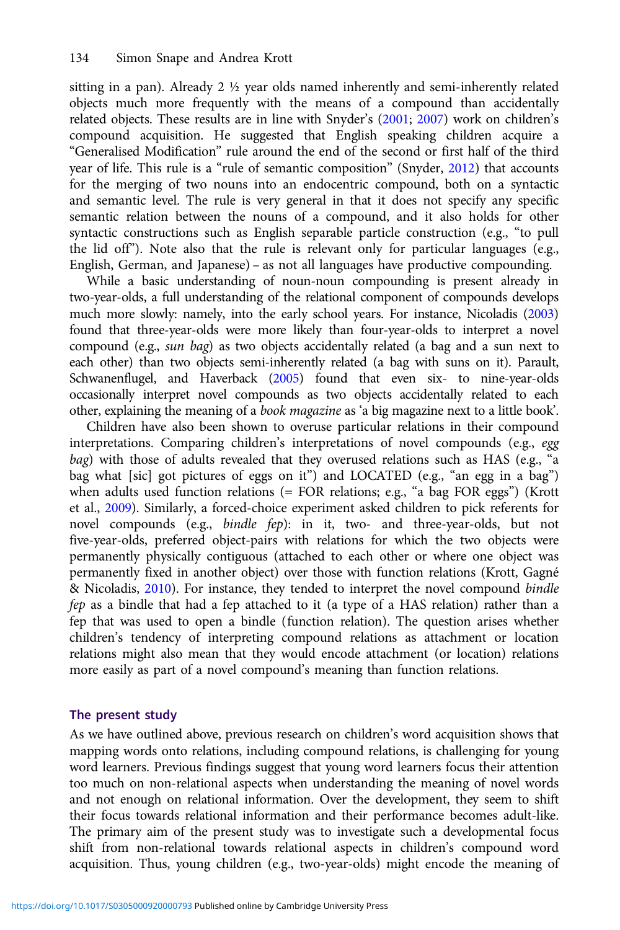sitting in a pan). Already  $2 \frac{1}{2}$  year olds named inherently and semi-inherently related objects much more frequently with the means of a compound than accidentally related objects. These results are in line with Snyder's ([2001](#page-32-0); [2007](#page-32-0)) work on children's compound acquisition. He suggested that English speaking children acquire a "Generalised Modification" rule around the end of the second or first half of the third year of life. This rule is a "rule of semantic composition" (Snyder, [2012\)](#page-33-0) that accounts for the merging of two nouns into an endocentric compound, both on a syntactic and semantic level. The rule is very general in that it does not specify any specific semantic relation between the nouns of a compound, and it also holds for other syntactic constructions such as English separable particle construction (e.g., "to pull the lid off"). Note also that the rule is relevant only for particular languages (e.g., English, German, and Japanese) – as not all languages have productive compounding.

While a basic understanding of noun-noun compounding is present already in two-year-olds, a full understanding of the relational component of compounds develops much more slowly: namely, into the early school years. For instance, Nicoladis ([2003\)](#page-32-0) found that three-year-olds were more likely than four-year-olds to interpret a novel compound (e.g., sun bag) as two objects accidentally related (a bag and a sun next to each other) than two objects semi-inherently related (a bag with suns on it). Parault, Schwanenflugel, and Haverback ([2005\)](#page-32-0) found that even six- to nine-year-olds occasionally interpret novel compounds as two objects accidentally related to each other, explaining the meaning of a book magazine as 'a big magazine next to a little book'.

Children have also been shown to overuse particular relations in their compound interpretations. Comparing children's interpretations of novel compounds (e.g., egg bag) with those of adults revealed that they overused relations such as HAS (e.g., "a bag what [sic] got pictures of eggs on it") and LOCATED (e.g., "an egg in a bag") when adults used function relations (= FOR relations; e.g., "a bag FOR eggs") (Krott et al., [2009](#page-32-0)). Similarly, a forced-choice experiment asked children to pick referents for novel compounds (e.g., bindle fep): in it, two- and three-year-olds, but not five-year-olds, preferred object-pairs with relations for which the two objects were permanently physically contiguous (attached to each other or where one object was permanently fixed in another object) over those with function relations (Krott, Gagné & Nicoladis, [2010](#page-32-0)). For instance, they tended to interpret the novel compound bindle fep as a bindle that had a fep attached to it (a type of a HAS relation) rather than a fep that was used to open a bindle (function relation). The question arises whether children's tendency of interpreting compound relations as attachment or location relations might also mean that they would encode attachment (or location) relations more easily as part of a novel compound's meaning than function relations.

#### The present study

As we have outlined above, previous research on children's word acquisition shows that mapping words onto relations, including compound relations, is challenging for young word learners. Previous findings suggest that young word learners focus their attention too much on non-relational aspects when understanding the meaning of novel words and not enough on relational information. Over the development, they seem to shift their focus towards relational information and their performance becomes adult-like. The primary aim of the present study was to investigate such a developmental focus shift from non-relational towards relational aspects in children's compound word acquisition. Thus, young children (e.g., two-year-olds) might encode the meaning of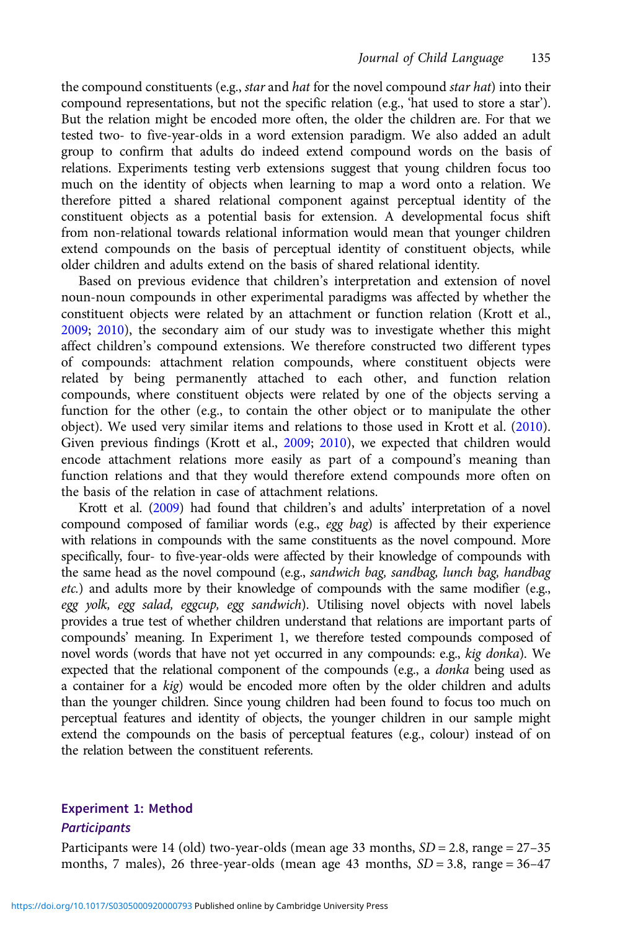the compound constituents (e.g., *star* and *hat* for the novel compound *star hat*) into their compound representations, but not the specific relation (e.g., 'hat used to store a star'). But the relation might be encoded more often, the older the children are. For that we tested two- to five-year-olds in a word extension paradigm. We also added an adult group to confirm that adults do indeed extend compound words on the basis of relations. Experiments testing verb extensions suggest that young children focus too much on the identity of objects when learning to map a word onto a relation. We therefore pitted a shared relational component against perceptual identity of the constituent objects as a potential basis for extension. A developmental focus shift from non-relational towards relational information would mean that younger children extend compounds on the basis of perceptual identity of constituent objects, while older children and adults extend on the basis of shared relational identity.

Based on previous evidence that children's interpretation and extension of novel noun-noun compounds in other experimental paradigms was affected by whether the constituent objects were related by an attachment or function relation (Krott et al., [2009](#page-32-0); [2010](#page-32-0)), the secondary aim of our study was to investigate whether this might affect children's compound extensions. We therefore constructed two different types of compounds: attachment relation compounds, where constituent objects were related by being permanently attached to each other, and function relation compounds, where constituent objects were related by one of the objects serving a function for the other (e.g., to contain the other object or to manipulate the other object). We used very similar items and relations to those used in Krott et al. [\(2010](#page-32-0)). Given previous findings (Krott et al., [2009;](#page-32-0) [2010\)](#page-32-0), we expected that children would encode attachment relations more easily as part of a compound's meaning than function relations and that they would therefore extend compounds more often on the basis of the relation in case of attachment relations.

Krott et al. [\(2009\)](#page-32-0) had found that children's and adults' interpretation of a novel compound composed of familiar words (e.g., egg bag) is affected by their experience with relations in compounds with the same constituents as the novel compound. More specifically, four- to five-year-olds were affected by their knowledge of compounds with the same head as the novel compound (e.g., sandwich bag, sandbag, lunch bag, handbag etc.) and adults more by their knowledge of compounds with the same modifier (e.g., egg yolk, egg salad, eggcup, egg sandwich). Utilising novel objects with novel labels provides a true test of whether children understand that relations are important parts of compounds' meaning. In Experiment 1, we therefore tested compounds composed of novel words (words that have not yet occurred in any compounds: e.g., kig donka). We expected that the relational component of the compounds (e.g., a donka being used as a container for a kig) would be encoded more often by the older children and adults than the younger children. Since young children had been found to focus too much on perceptual features and identity of objects, the younger children in our sample might extend the compounds on the basis of perceptual features (e.g., colour) instead of on the relation between the constituent referents.

#### Experiment 1: Method

#### **Participants**

Participants were 14 (old) two-year-olds (mean age 33 months,  $SD = 2.8$ , range =  $27-35$ months, 7 males), 26 three-year-olds (mean age 43 months,  $SD = 3.8$ , range =  $36-47$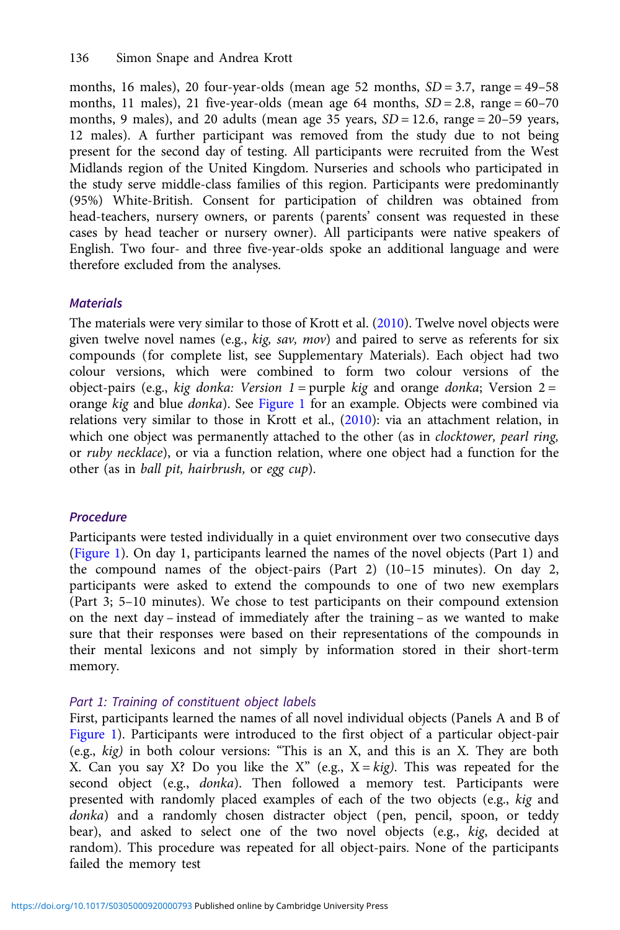months, 16 males), 20 four-year-olds (mean age 52 months,  $SD = 3.7$ , range = 49–58 months, 11 males), 21 five-year-olds (mean age 64 months,  $SD = 2.8$ , range = 60–70 months, 9 males), and 20 adults (mean age 35 years,  $SD = 12.6$ , range = 20-59 years, 12 males). A further participant was removed from the study due to not being present for the second day of testing. All participants were recruited from the West Midlands region of the United Kingdom. Nurseries and schools who participated in the study serve middle-class families of this region. Participants were predominantly (95%) White-British. Consent for participation of children was obtained from head-teachers, nursery owners, or parents (parents' consent was requested in these cases by head teacher or nursery owner). All participants were native speakers of English. Two four- and three five-year-olds spoke an additional language and were therefore excluded from the analyses.

#### **Materials**

The materials were very similar to those of Krott et al. [\(2010\)](#page-32-0). Twelve novel objects were given twelve novel names (e.g., kig, sav, mov) and paired to serve as referents for six compounds (for complete list, see Supplementary Materials). Each object had two colour versions, which were combined to form two colour versions of the object-pairs (e.g., kig donka: Version  $1 =$  purple kig and orange donka; Version  $2 =$ orange kig and blue donka). See [Figure 1](#page-7-0) for an example. Objects were combined via relations very similar to those in Krott et al., ([2010](#page-32-0)): via an attachment relation, in which one object was permanently attached to the other (as in *clocktower*, *pearl ring*, or ruby necklace), or via a function relation, where one object had a function for the other (as in ball pit, hairbrush, or egg cup).

#### Procedure

Participants were tested individually in a quiet environment over two consecutive days ([Figure 1\)](#page-7-0). On day 1, participants learned the names of the novel objects (Part 1) and the compound names of the object-pairs (Part 2) (10–15 minutes). On day 2, participants were asked to extend the compounds to one of two new exemplars (Part 3; 5–10 minutes). We chose to test participants on their compound extension on the next day – instead of immediately after the training – as we wanted to make sure that their responses were based on their representations of the compounds in their mental lexicons and not simply by information stored in their short-term memory.

#### Part 1: Training of constituent object labels

First, participants learned the names of all novel individual objects (Panels A and B of [Figure 1\)](#page-7-0). Participants were introduced to the first object of a particular object-pair (e.g., kig) in both colour versions: "This is an X, and this is an X. They are both X. Can you say X? Do you like the X" (e.g.,  $X = kig$ ). This was repeated for the second object (e.g., *donka*). Then followed a memory test. Participants were presented with randomly placed examples of each of the two objects (e.g., kig and donka) and a randomly chosen distracter object (pen, pencil, spoon, or teddy bear), and asked to select one of the two novel objects (e.g., kig, decided at random). This procedure was repeated for all object-pairs. None of the participants failed the memory test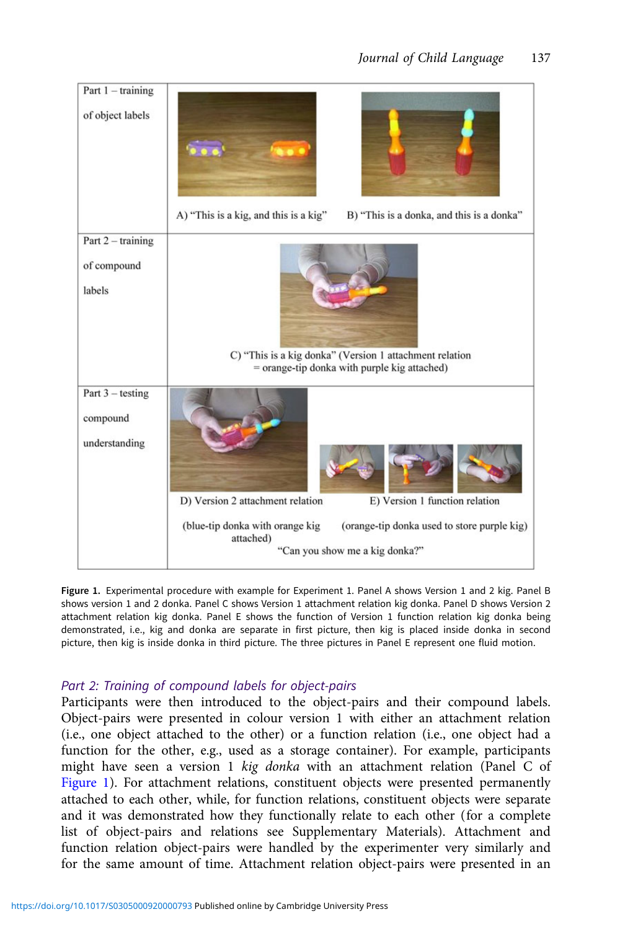<span id="page-7-0"></span>

Figure 1. Experimental procedure with example for Experiment 1. Panel A shows Version 1 and 2 kig. Panel B shows version 1 and 2 donka. Panel C shows Version 1 attachment relation kig donka. Panel D shows Version 2 attachment relation kig donka. Panel E shows the function of Version 1 function relation kig donka being demonstrated, i.e., kig and donka are separate in first picture, then kig is placed inside donka in second picture, then kig is inside donka in third picture. The three pictures in Panel E represent one fluid motion.

#### Part 2: Training of compound labels for object-pairs

Participants were then introduced to the object-pairs and their compound labels. Object-pairs were presented in colour version 1 with either an attachment relation (i.e., one object attached to the other) or a function relation (i.e., one object had a function for the other, e.g., used as a storage container). For example, participants might have seen a version 1 kig donka with an attachment relation (Panel C of Figure 1). For attachment relations, constituent objects were presented permanently attached to each other, while, for function relations, constituent objects were separate and it was demonstrated how they functionally relate to each other (for a complete list of object-pairs and relations see Supplementary Materials). Attachment and function relation object-pairs were handled by the experimenter very similarly and for the same amount of time. Attachment relation object-pairs were presented in an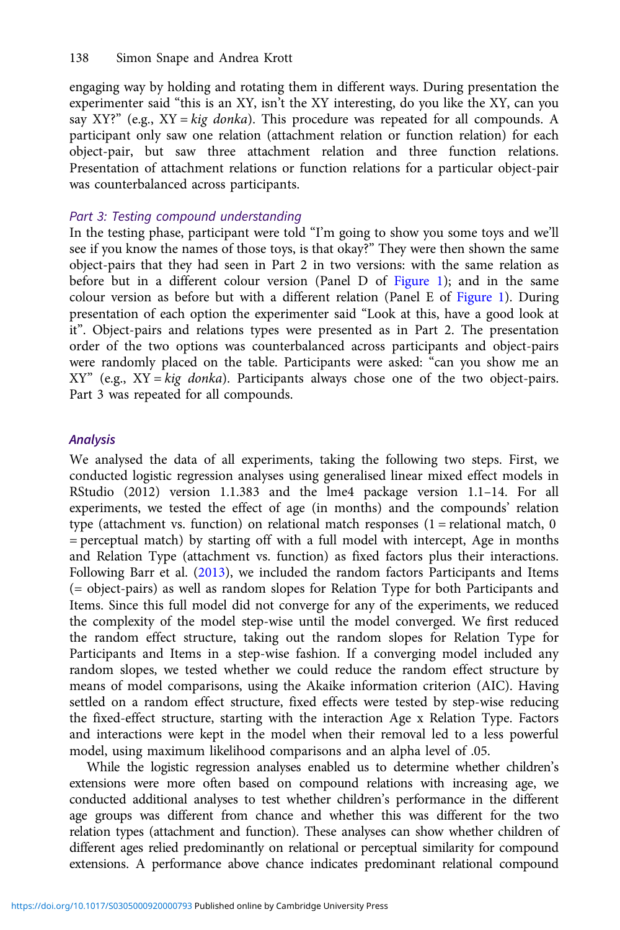engaging way by holding and rotating them in different ways. During presentation the experimenter said "this is an XY, isn't the XY interesting, do you like the XY, can you say XY?" (e.g., XY =  $kig$  donka). This procedure was repeated for all compounds. A participant only saw one relation (attachment relation or function relation) for each object-pair, but saw three attachment relation and three function relations. Presentation of attachment relations or function relations for a particular object-pair was counterbalanced across participants.

#### Part 3: Testing compound understanding

In the testing phase, participant were told "I'm going to show you some toys and we'll see if you know the names of those toys, is that okay?" They were then shown the same object-pairs that they had seen in Part 2 in two versions: with the same relation as before but in a different colour version (Panel D of [Figure 1](#page-7-0)); and in the same colour version as before but with a different relation (Panel E of [Figure 1\)](#page-7-0). During presentation of each option the experimenter said "Look at this, have a good look at it". Object-pairs and relations types were presented as in Part 2. The presentation order of the two options was counterbalanced across participants and object-pairs were randomly placed on the table. Participants were asked: "can you show me an  $XY''$  (e.g.,  $XY = kig$  donka). Participants always chose one of the two object-pairs. Part 3 was repeated for all compounds.

#### Analysis

We analysed the data of all experiments, taking the following two steps. First, we conducted logistic regression analyses using generalised linear mixed effect models in RStudio (2012) version 1.1.383 and the lme4 package version 1.1–14. For all experiments, we tested the effect of age (in months) and the compounds' relation type (attachment vs. function) on relational match responses  $(1 =$  relational match, 0 = perceptual match) by starting off with a full model with intercept, Age in months and Relation Type (attachment vs. function) as fixed factors plus their interactions. Following Barr et al. ([2013](#page-31-0)), we included the random factors Participants and Items (= object-pairs) as well as random slopes for Relation Type for both Participants and Items. Since this full model did not converge for any of the experiments, we reduced the complexity of the model step-wise until the model converged. We first reduced the random effect structure, taking out the random slopes for Relation Type for Participants and Items in a step-wise fashion. If a converging model included any random slopes, we tested whether we could reduce the random effect structure by means of model comparisons, using the Akaike information criterion (AIC). Having settled on a random effect structure, fixed effects were tested by step-wise reducing the fixed-effect structure, starting with the interaction Age x Relation Type. Factors and interactions were kept in the model when their removal led to a less powerful model, using maximum likelihood comparisons and an alpha level of .05.

While the logistic regression analyses enabled us to determine whether children's extensions were more often based on compound relations with increasing age, we conducted additional analyses to test whether children's performance in the different age groups was different from chance and whether this was different for the two relation types (attachment and function). These analyses can show whether children of different ages relied predominantly on relational or perceptual similarity for compound extensions. A performance above chance indicates predominant relational compound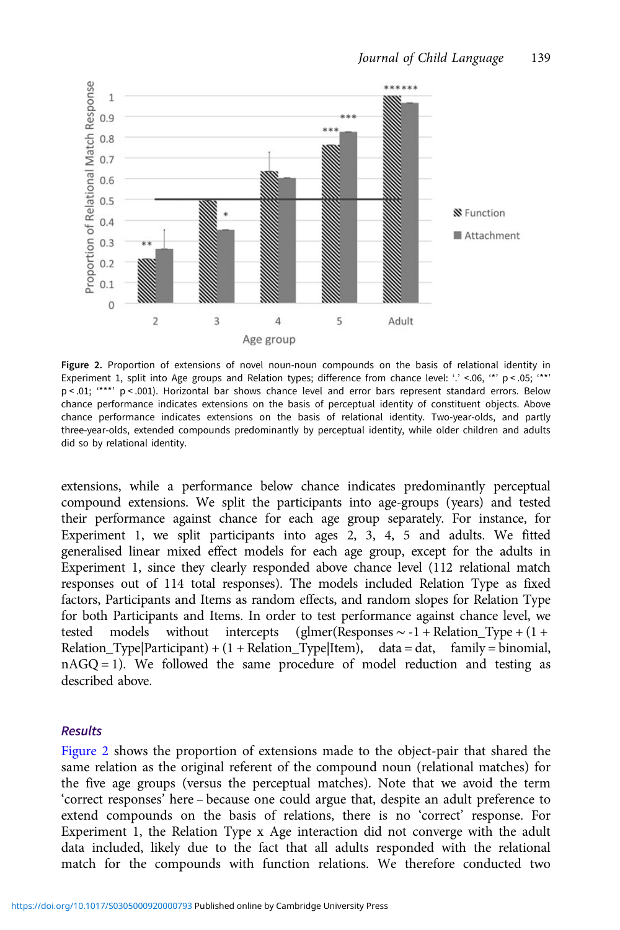<span id="page-9-0"></span>

Figure 2. Proportion of extensions of novel noun-noun compounds on the basis of relational identity in Experiment 1, split into Age groups and Relation types; difference from chance level: '.' <.06, '\*' p <.05; '\*\*' p < .01; '\*\*\*' p < .001). Horizontal bar shows chance level and error bars represent standard errors. Below chance performance indicates extensions on the basis of perceptual identity of constituent objects. Above chance performance indicates extensions on the basis of relational identity. Two-year-olds, and partly three-year-olds, extended compounds predominantly by perceptual identity, while older children and adults did so by relational identity.

extensions, while a performance below chance indicates predominantly perceptual compound extensions. We split the participants into age-groups (years) and tested their performance against chance for each age group separately. For instance, for Experiment 1, we split participants into ages 2, 3, 4, 5 and adults. We fitted generalised linear mixed effect models for each age group, except for the adults in Experiment 1, since they clearly responded above chance level (112 relational match responses out of 114 total responses). The models included Relation Type as fixed factors, Participants and Items as random effects, and random slopes for Relation Type for both Participants and Items. In order to test performance against chance level, we tested models without intercepts (glmer(Responses ∼ -1 + Relation\_Type + (1 + Relation  $Type|Participation + (1 + Relation Type|Item)$ , data = dat, family = binomial, nAGQ = 1). We followed the same procedure of model reduction and testing as described above.

#### Results

Figure 2 shows the proportion of extensions made to the object-pair that shared the same relation as the original referent of the compound noun (relational matches) for the five age groups (versus the perceptual matches). Note that we avoid the term 'correct responses' here – because one could argue that, despite an adult preference to extend compounds on the basis of relations, there is no 'correct' response. For Experiment 1, the Relation Type x Age interaction did not converge with the adult data included, likely due to the fact that all adults responded with the relational match for the compounds with function relations. We therefore conducted two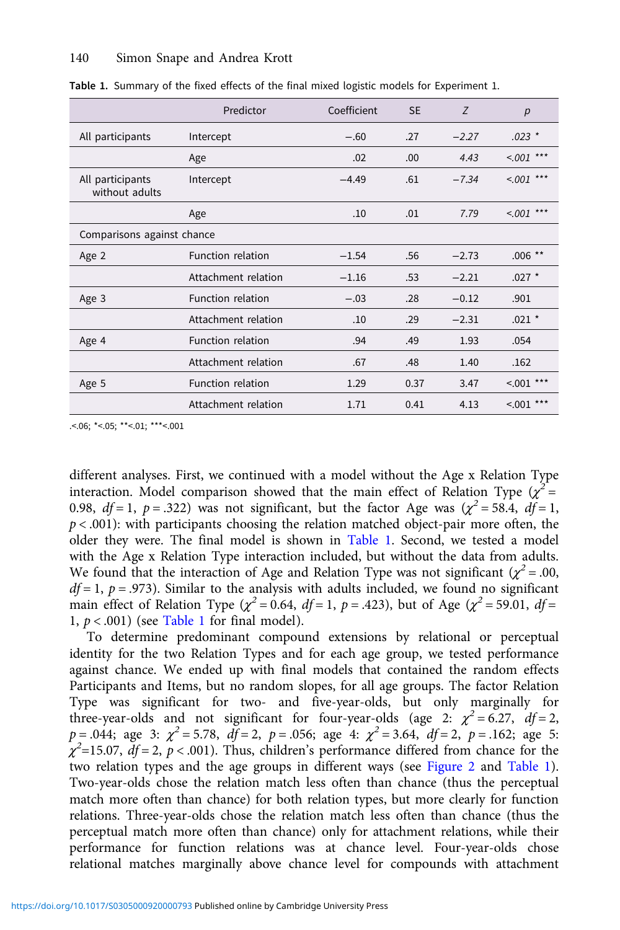#### 140 Simon Snape and Andrea Krott

|                                    | Predictor                | Coefficient | <b>SE</b> | $\overline{7}$ | p           |
|------------------------------------|--------------------------|-------------|-----------|----------------|-------------|
| All participants                   | Intercept                | $-.60$      | .27       | $-2.27$        | $.023$ *    |
|                                    | Age                      | .02         | .00       | 4.43           | $0.001***$  |
| All participants<br>without adults | Intercept                | $-4.49$     | .61       | $-7.34$        | $0.001***$  |
|                                    | Age                      | .10         | .01       | 7.79           | $001$ ***   |
| Comparisons against chance         |                          |             |           |                |             |
| Age 2                              | <b>Function relation</b> | $-1.54$     | .56       | $-2.73$        | $.006***$   |
|                                    | Attachment relation      | $-1.16$     | .53       | $-2.21$        | $.027$ *    |
| Age 3                              | <b>Function relation</b> | $-.03$      | .28       | $-0.12$        | .901        |
|                                    | Attachment relation      | .10         | .29       | $-2.31$        | $.021$ *    |
| Age 4                              | <b>Function relation</b> | .94         | .49       | 1.93           | .054        |
|                                    | Attachment relation      | .67         | .48       | 1.40           | .162        |
| Age 5                              | <b>Function relation</b> | 1.29        | 0.37      | 3.47           | $5.001$ *** |
|                                    | Attachment relation      | 1.71        | 0.41      | 4.13           | $5.001$ *** |

Table 1. Summary of the fixed effects of the final mixed logistic models for Experiment 1.

.<.06; \*<.05; \*\*<.01; \*\*\*<.001

different analyses. First, we continued with a model without the Age x Relation Type interaction. Model comparison showed that the main effect of Relation Type ( $\chi^2$  = 0.98,  $df = 1$ ,  $p = .322$ ) was not significant, but the factor Age was ( $\chi^2 = 58.4$ ,  $df = 1$ ,  $p < .001$ ): with participants choosing the relation matched object-pair more often, the older they were. The final model is shown in Table 1. Second, we tested a model with the Age x Relation Type interaction included, but without the data from adults. We found that the interaction of Age and Relation Type was not significant ( $\chi^2$  = .00,  $df = 1$ ,  $p = .973$ ). Similar to the analysis with adults included, we found no significant main effect of Relation Type ( $\chi^2$  = 0.64, df = 1, p = .423), but of Age ( $\chi^2$  = 59.01, df = 1,  $p < .001$ ) (see Table 1 for final model).

To determine predominant compound extensions by relational or perceptual identity for the two Relation Types and for each age group, we tested performance against chance. We ended up with final models that contained the random effects Participants and Items, but no random slopes, for all age groups. The factor Relation Type was significant for two- and five-year-olds, but only marginally for three-year-olds and not significant for four-year-olds (age 2:  $\chi^2 = 6.27$ ,  $df = 2$ ,  $p = .044$ ; age 3:  $\chi^2 = 5.78$ ,  $d\bar{f} = 2$ ,  $p = .056$ ; age 4:  $\chi^2 = 3.64$ ,  $d\bar{f} = 2$ ,  $p = .162$ ; age 5:  $\chi^2$ =15.07,  $df = 2$ ,  $p < .001$ ). Thus, children's performance differed from chance for the two relation types and the age groups in different ways (see [Figure 2](#page-9-0) and Table 1). Two-year-olds chose the relation match less often than chance (thus the perceptual match more often than chance) for both relation types, but more clearly for function relations. Three-year-olds chose the relation match less often than chance (thus the perceptual match more often than chance) only for attachment relations, while their performance for function relations was at chance level. Four-year-olds chose relational matches marginally above chance level for compounds with attachment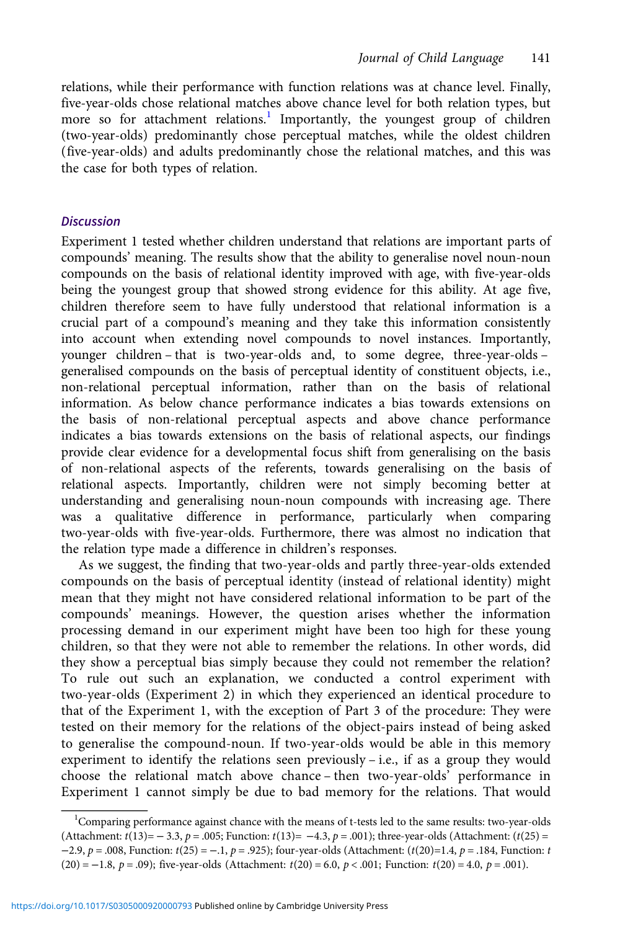relations, while their performance with function relations was at chance level. Finally, five-year-olds chose relational matches above chance level for both relation types, but more so for attachment relations.<sup>1</sup> Importantly, the youngest group of children (two-year-olds) predominantly chose perceptual matches, while the oldest children (five-year-olds) and adults predominantly chose the relational matches, and this was the case for both types of relation.

#### **Discussion**

Experiment 1 tested whether children understand that relations are important parts of compounds' meaning. The results show that the ability to generalise novel noun-noun compounds on the basis of relational identity improved with age, with five-year-olds being the youngest group that showed strong evidence for this ability. At age five, children therefore seem to have fully understood that relational information is a crucial part of a compound's meaning and they take this information consistently into account when extending novel compounds to novel instances. Importantly, younger children – that is two-year-olds and, to some degree, three-year-olds – generalised compounds on the basis of perceptual identity of constituent objects, i.e., non-relational perceptual information, rather than on the basis of relational information. As below chance performance indicates a bias towards extensions on the basis of non-relational perceptual aspects and above chance performance indicates a bias towards extensions on the basis of relational aspects, our findings provide clear evidence for a developmental focus shift from generalising on the basis of non-relational aspects of the referents, towards generalising on the basis of relational aspects. Importantly, children were not simply becoming better at understanding and generalising noun-noun compounds with increasing age. There was a qualitative difference in performance, particularly when comparing two-year-olds with five-year-olds. Furthermore, there was almost no indication that the relation type made a difference in children's responses.

As we suggest, the finding that two-year-olds and partly three-year-olds extended compounds on the basis of perceptual identity (instead of relational identity) might mean that they might not have considered relational information to be part of the compounds' meanings. However, the question arises whether the information processing demand in our experiment might have been too high for these young children, so that they were not able to remember the relations. In other words, did they show a perceptual bias simply because they could not remember the relation? To rule out such an explanation, we conducted a control experiment with two-year-olds (Experiment 2) in which they experienced an identical procedure to that of the Experiment 1, with the exception of Part 3 of the procedure: They were tested on their memory for the relations of the object-pairs instead of being asked to generalise the compound-noun. If two-year-olds would be able in this memory experiment to identify the relations seen previously – i.e., if as a group they would choose the relational match above chance – then two-year-olds' performance in Experiment 1 cannot simply be due to bad memory for the relations. That would

<sup>&</sup>lt;sup>1</sup>Comparing performance against chance with the means of t-tests led to the same results: two-year-olds (Attachment:  $t(13) = -3.3$ ,  $p = .005$ ; Function:  $t(13) = -4.3$ ,  $p = .001$ ); three-year-olds (Attachment: ( $t(25) =$ −2.9, p = .008, Function:  $t(25) = -1$ , p = .925); four-year-olds (Attachment:  $(t(20)=1.4, p = .184,$  Function: t (20) = −1.8, p = .09); five-year-olds (Attachment:  $t(20) = 6.0$ , p < .001; Function:  $t(20) = 4.0$ , p = .001).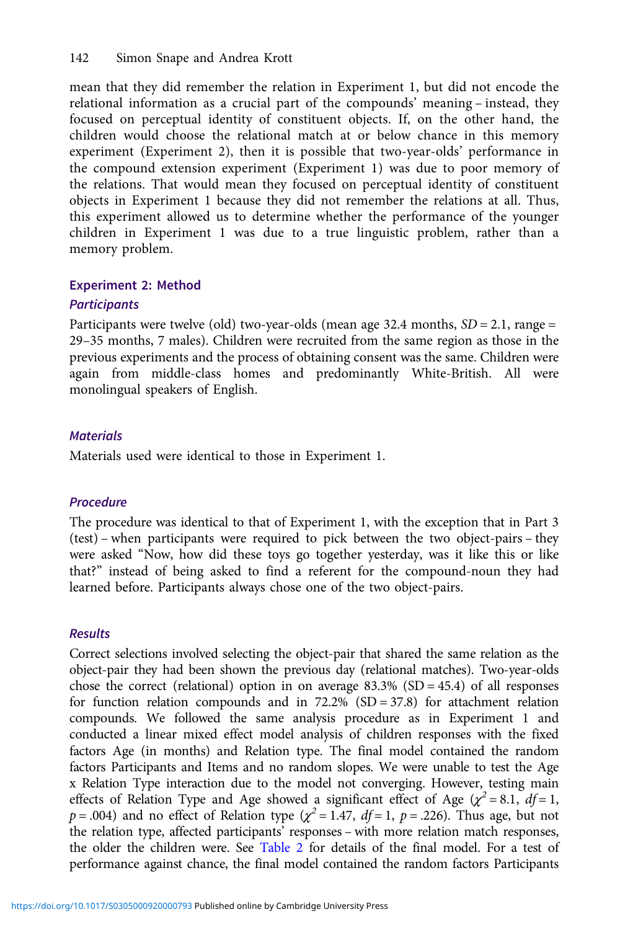mean that they did remember the relation in Experiment 1, but did not encode the relational information as a crucial part of the compounds' meaning – instead, they focused on perceptual identity of constituent objects. If, on the other hand, the children would choose the relational match at or below chance in this memory experiment (Experiment 2), then it is possible that two-year-olds' performance in the compound extension experiment (Experiment 1) was due to poor memory of the relations. That would mean they focused on perceptual identity of constituent objects in Experiment 1 because they did not remember the relations at all. Thus, this experiment allowed us to determine whether the performance of the younger children in Experiment 1 was due to a true linguistic problem, rather than a memory problem.

#### Experiment 2: Method

#### **Participants**

Participants were twelve (old) two-year-olds (mean age 32.4 months,  $SD = 2.1$ , range = 29–35 months, 7 males). Children were recruited from the same region as those in the previous experiments and the process of obtaining consent was the same. Children were again from middle-class homes and predominantly White-British. All were monolingual speakers of English.

#### **Materials**

Materials used were identical to those in Experiment 1.

#### Procedure

The procedure was identical to that of Experiment 1, with the exception that in Part 3 (test) – when participants were required to pick between the two object-pairs – they were asked "Now, how did these toys go together yesterday, was it like this or like that?" instead of being asked to find a referent for the compound-noun they had learned before. Participants always chose one of the two object-pairs.

#### Results

Correct selections involved selecting the object-pair that shared the same relation as the object-pair they had been shown the previous day (relational matches). Two-year-olds chose the correct (relational) option in on average  $83.3\%$  (SD = 45.4) of all responses for function relation compounds and in  $72.2\%$  (SD = 37.8) for attachment relation compounds. We followed the same analysis procedure as in Experiment 1 and conducted a linear mixed effect model analysis of children responses with the fixed factors Age (in months) and Relation type. The final model contained the random factors Participants and Items and no random slopes. We were unable to test the Age x Relation Type interaction due to the model not converging. However, testing main effects of Relation Type and Age showed a significant effect of Age ( $\chi^2 = 8.1$ ,  $df = 1$ ,  $p = .004$ ) and no effect of Relation type ( $\chi^2 = 1.47$ ,  $df = 1$ ,  $p = .226$ ). Thus age, but not the relation type, affected participants' responses – with more relation match responses, the older the children were. See [Table 2](#page-13-0) for details of the final model. For a test of performance against chance, the final model contained the random factors Participants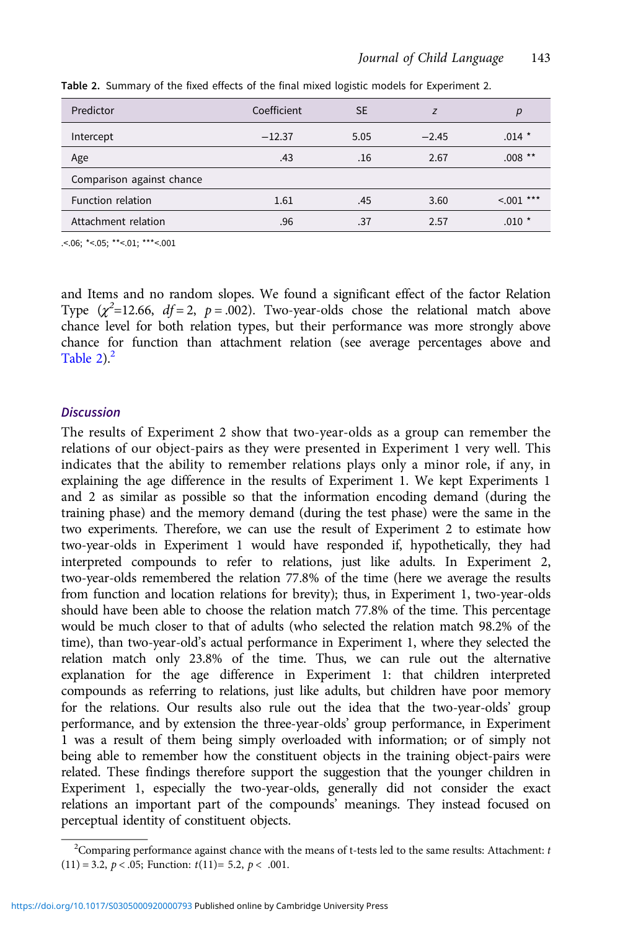| Predictor                 | Coefficient | <b>SE</b> | Z       | $\boldsymbol{p}$ |
|---------------------------|-------------|-----------|---------|------------------|
| Intercept                 | $-12.37$    | 5.05      | $-2.45$ | $.014 *$         |
| Age                       | .43         | .16       | 2.67    | $.008***$        |
| Comparison against chance |             |           |         |                  |
| Function relation         | 1.61        | .45       | 3.60    | $< 0.01$ ***     |
| Attachment relation       | .96         | .37       | 2.57    | $.010*$          |

<span id="page-13-0"></span>Table 2. Summary of the fixed effects of the final mixed logistic models for Experiment 2.

.<.06; \*<.05; \*\*<.01; \*\*\*<.001

and Items and no random slopes. We found a significant effect of the factor Relation Type  $(\chi^2=12.66, df = 2, p = .002)$ . Two-year-olds chose the relational match above chance level for both relation types, but their performance was more strongly above chance for function than attachment relation (see average percentages above and Table  $2$ ).<sup>2</sup>

#### **Discussion**

The results of Experiment 2 show that two-year-olds as a group can remember the relations of our object-pairs as they were presented in Experiment 1 very well. This indicates that the ability to remember relations plays only a minor role, if any, in explaining the age difference in the results of Experiment 1. We kept Experiments 1 and 2 as similar as possible so that the information encoding demand (during the training phase) and the memory demand (during the test phase) were the same in the two experiments. Therefore, we can use the result of Experiment 2 to estimate how two-year-olds in Experiment 1 would have responded if, hypothetically, they had interpreted compounds to refer to relations, just like adults. In Experiment 2, two-year-olds remembered the relation 77.8% of the time (here we average the results from function and location relations for brevity); thus, in Experiment 1, two-year-olds should have been able to choose the relation match 77.8% of the time. This percentage would be much closer to that of adults (who selected the relation match 98.2% of the time), than two-year-old's actual performance in Experiment 1, where they selected the relation match only 23.8% of the time. Thus, we can rule out the alternative explanation for the age difference in Experiment 1: that children interpreted compounds as referring to relations, just like adults, but children have poor memory for the relations. Our results also rule out the idea that the two-year-olds' group performance, and by extension the three-year-olds' group performance, in Experiment 1 was a result of them being simply overloaded with information; or of simply not being able to remember how the constituent objects in the training object-pairs were related. These findings therefore support the suggestion that the younger children in Experiment 1, especially the two-year-olds, generally did not consider the exact relations an important part of the compounds' meanings. They instead focused on perceptual identity of constituent objects.

<sup>&</sup>lt;sup>2</sup> Comparing performance against chance with the means of t-tests led to the same results: Attachment:  $t$  $(11) = 3.2, p < .05$ ; Function:  $t(11) = 5.2, p < .001$ .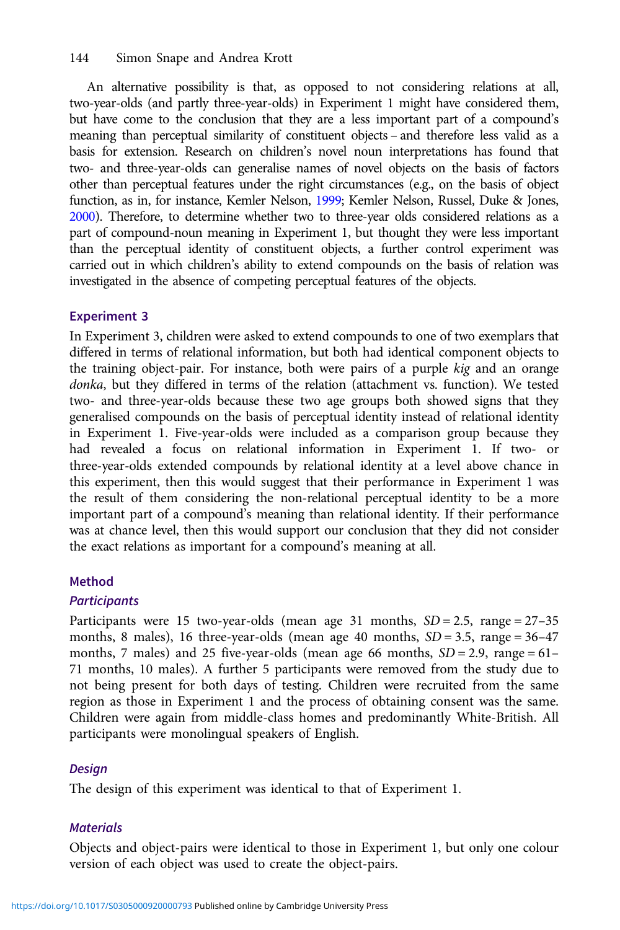An alternative possibility is that, as opposed to not considering relations at all, two-year-olds (and partly three-year-olds) in Experiment 1 might have considered them, but have come to the conclusion that they are a less important part of a compound's meaning than perceptual similarity of constituent objects – and therefore less valid as a basis for extension. Research on children's novel noun interpretations has found that two- and three-year-olds can generalise names of novel objects on the basis of factors other than perceptual features under the right circumstances (e.g., on the basis of object function, as in, for instance, Kemler Nelson, [1999](#page-32-0); Kemler Nelson, Russel, Duke & Jones, [2000](#page-32-0)). Therefore, to determine whether two to three-year olds considered relations as a part of compound-noun meaning in Experiment 1, but thought they were less important than the perceptual identity of constituent objects, a further control experiment was carried out in which children's ability to extend compounds on the basis of relation was investigated in the absence of competing perceptual features of the objects.

#### Experiment 3

In Experiment 3, children were asked to extend compounds to one of two exemplars that differed in terms of relational information, but both had identical component objects to the training object-pair. For instance, both were pairs of a purple kig and an orange donka, but they differed in terms of the relation (attachment vs. function). We tested two- and three-year-olds because these two age groups both showed signs that they generalised compounds on the basis of perceptual identity instead of relational identity in Experiment 1. Five-year-olds were included as a comparison group because they had revealed a focus on relational information in Experiment 1. If two- or three-year-olds extended compounds by relational identity at a level above chance in this experiment, then this would suggest that their performance in Experiment 1 was the result of them considering the non-relational perceptual identity to be a more important part of a compound's meaning than relational identity. If their performance was at chance level, then this would support our conclusion that they did not consider the exact relations as important for a compound's meaning at all.

#### Method

#### **Participants**

Participants were 15 two-year-olds (mean age 31 months,  $SD = 2.5$ , range = 27–35 months, 8 males), 16 three-year-olds (mean age 40 months,  $SD = 3.5$ , range = 36–47 months, 7 males) and 25 five-year-olds (mean age 66 months,  $SD = 2.9$ , range = 61– 71 months, 10 males). A further 5 participants were removed from the study due to not being present for both days of testing. Children were recruited from the same region as those in Experiment 1 and the process of obtaining consent was the same. Children were again from middle-class homes and predominantly White-British. All participants were monolingual speakers of English.

#### **Design**

The design of this experiment was identical to that of Experiment 1.

#### **Materials**

Objects and object-pairs were identical to those in Experiment 1, but only one colour version of each object was used to create the object-pairs.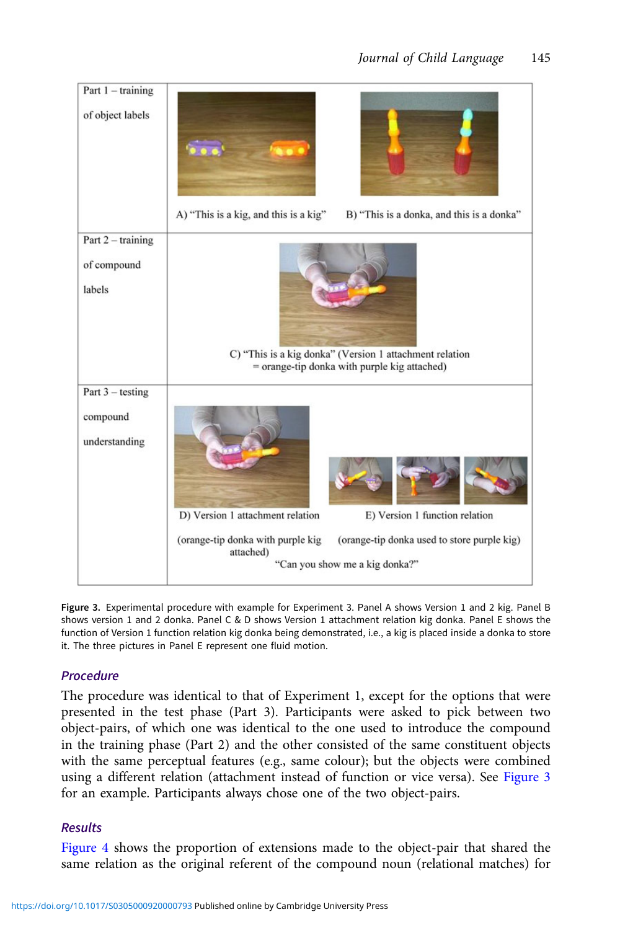

Figure 3. Experimental procedure with example for Experiment 3. Panel A shows Version 1 and 2 kig. Panel B shows version 1 and 2 donka. Panel C & D shows Version 1 attachment relation kig donka. Panel E shows the function of Version 1 function relation kig donka being demonstrated, i.e., a kig is placed inside a donka to store it. The three pictures in Panel E represent one fluid motion.

#### Procedure

The procedure was identical to that of Experiment 1, except for the options that were presented in the test phase (Part 3). Participants were asked to pick between two object-pairs, of which one was identical to the one used to introduce the compound in the training phase (Part 2) and the other consisted of the same constituent objects with the same perceptual features (e.g., same colour); but the objects were combined using a different relation (attachment instead of function or vice versa). See Figure 3 for an example. Participants always chose one of the two object-pairs.

#### Results

[Figure 4](#page-16-0) shows the proportion of extensions made to the object-pair that shared the same relation as the original referent of the compound noun (relational matches) for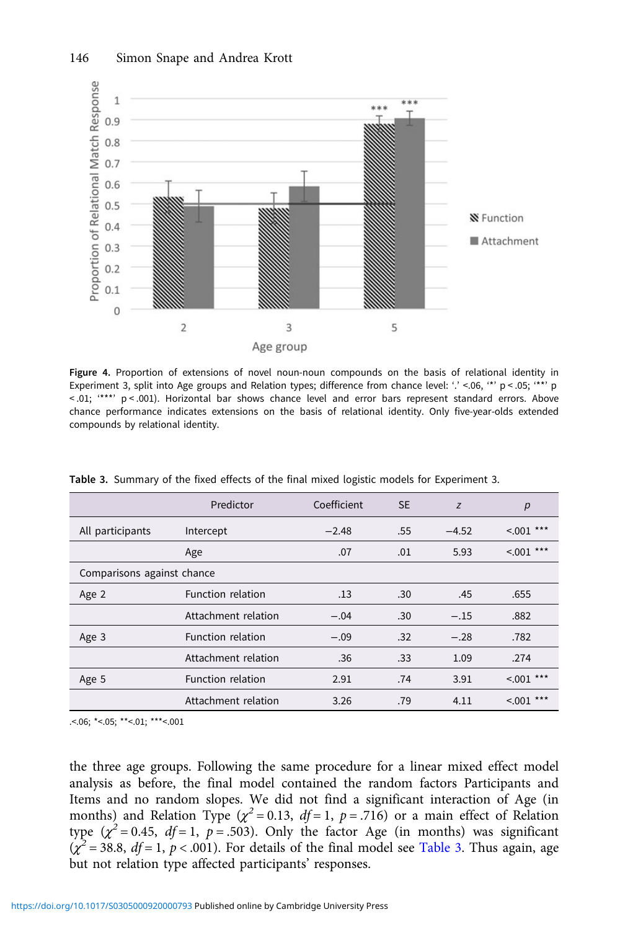<span id="page-16-0"></span>

Figure 4. Proportion of extensions of novel noun-noun compounds on the basis of relational identity in Experiment 3, split into Age groups and Relation types; difference from chance level: '.' <.06, '\*' p <.05; '\*\*' p < .01; '\*\*\*' p < .001). Horizontal bar shows chance level and error bars represent standard errors. Above chance performance indicates extensions on the basis of relational identity. Only five-year-olds extended compounds by relational identity.

|                            | Predictor           | Coefficient | <b>SE</b> | Z       | p           |
|----------------------------|---------------------|-------------|-----------|---------|-------------|
| All participants           | Intercept           | $-2.48$     | .55       | $-4.52$ | $15001$ *** |
|                            | Age                 | .07         | .01       | 5.93    | $15001$ *** |
| Comparisons against chance |                     |             |           |         |             |
| Age 2                      | Function relation   | .13         | .30       | .45     | .655        |
|                            | Attachment relation | $-.04$      | .30       | $-.15$  | .882        |
| Age 3                      | Function relation   | $-.09$      | .32       | $-.28$  | .782        |
|                            | Attachment relation | .36         | .33       | 1.09    | .274        |
| Age 5                      | Function relation   | 2.91        | .74       | 3.91    | $15001$ *** |
|                            | Attachment relation | 3.26        | .79       | 4.11    | $15001$ *** |

Table 3. Summary of the fixed effects of the final mixed logistic models for Experiment 3.

.<.06; \*<.05; \*\*<.01; \*\*\*<.001

the three age groups. Following the same procedure for a linear mixed effect model analysis as before, the final model contained the random factors Participants and Items and no random slopes. We did not find a significant interaction of Age (in months) and Relation Type ( $\chi^2$  = 0.13, df = 1, p = .716) or a main effect of Relation type  $(\chi^2 = 0.45, df = 1, p = .503)$ . Only the factor Age (in months) was significant  $(\chi^2 = 38.8, df = 1, p < .001)$ . For details of the final model see Table 3. Thus again, age but not relation type affected participants' responses.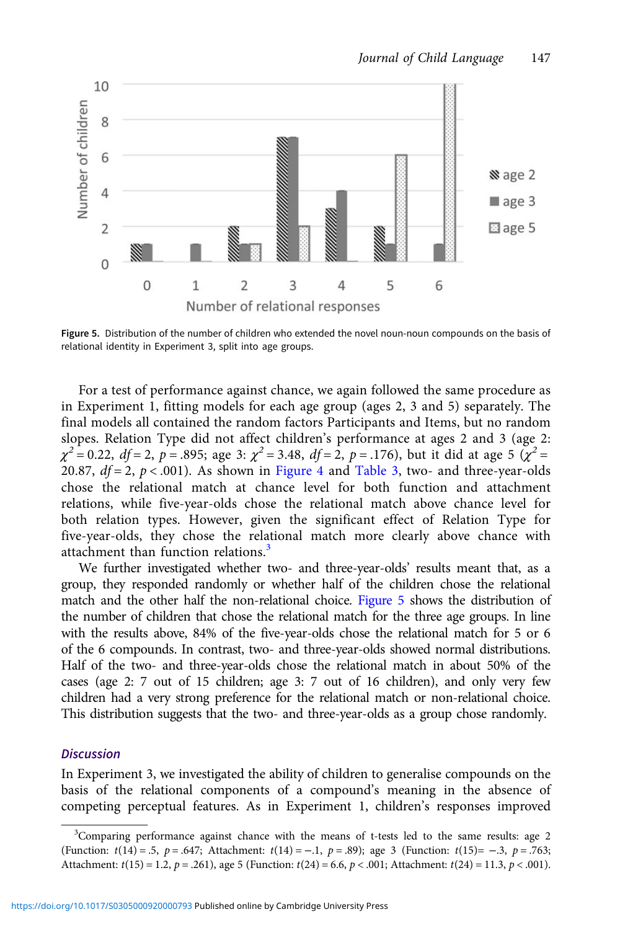

Figure 5. Distribution of the number of children who extended the novel noun-noun compounds on the basis of relational identity in Experiment 3, split into age groups.

For a test of performance against chance, we again followed the same procedure as in Experiment 1, fitting models for each age group (ages 2, 3 and 5) separately. The final models all contained the random factors Participants and Items, but no random slopes. Relation Type did not affect children's performance at ages 2 and 3 (age 2:  $\chi^2 = 0.22$ ,  $df = 2$ ,  $p = .895$ ; age 3:  $\chi^2 = 3.48$ ,  $df = 2$ ,  $p = .176$ ), but it did at age 5  $(\chi^2 =$ 20.87,  $df = 2$ ,  $p < .001$ ). As shown in [Figure 4](#page-16-0) and [Table 3,](#page-16-0) two- and three-year-olds chose the relational match at chance level for both function and attachment relations, while five-year-olds chose the relational match above chance level for both relation types. However, given the significant effect of Relation Type for five-year-olds, they chose the relational match more clearly above chance with attachment than function relations.<sup>3</sup>

We further investigated whether two- and three-year-olds' results meant that, as a group, they responded randomly or whether half of the children chose the relational match and the other half the non-relational choice. Figure 5 shows the distribution of the number of children that chose the relational match for the three age groups. In line with the results above, 84% of the five-year-olds chose the relational match for 5 or 6 of the 6 compounds. In contrast, two- and three-year-olds showed normal distributions. Half of the two- and three-year-olds chose the relational match in about 50% of the cases (age 2: 7 out of 15 children; age 3: 7 out of 16 children), and only very few children had a very strong preference for the relational match or non-relational choice. This distribution suggests that the two- and three-year-olds as a group chose randomly.

#### **Discussion**

In Experiment 3, we investigated the ability of children to generalise compounds on the basis of the relational components of a compound's meaning in the absence of competing perceptual features. As in Experiment 1, children's responses improved

<sup>&</sup>lt;sup>3</sup>Comparing performance against chance with the means of t-tests led to the same results: age 2 (Function:  $t(14) = .5$ ,  $p = .647$ ; Attachment:  $t(14) = -.1$ ,  $p = .89$ ); age 3 (Function:  $t(15) = -.3$ ,  $p = .763$ ; Attachment:  $t(15) = 1.2$ ,  $p = .261$ ), age 5 (Function:  $t(24) = 6.6$ ,  $p < .001$ ; Attachment:  $t(24) = 11.3$ ,  $p < .001$ ).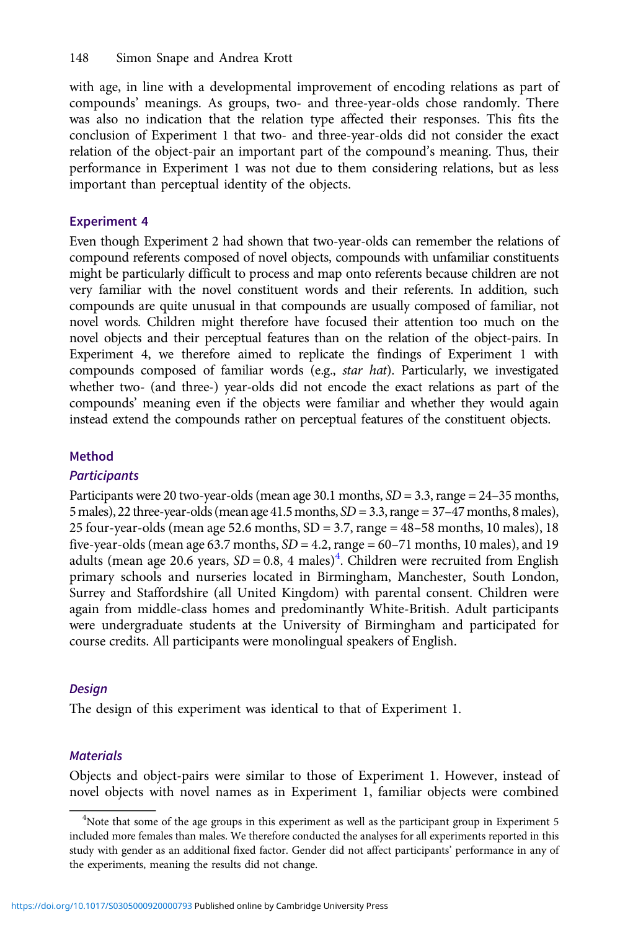with age, in line with a developmental improvement of encoding relations as part of compounds' meanings. As groups, two- and three-year-olds chose randomly. There was also no indication that the relation type affected their responses. This fits the conclusion of Experiment 1 that two- and three-year-olds did not consider the exact relation of the object-pair an important part of the compound's meaning. Thus, their performance in Experiment 1 was not due to them considering relations, but as less important than perceptual identity of the objects.

#### Experiment 4

Even though Experiment 2 had shown that two-year-olds can remember the relations of compound referents composed of novel objects, compounds with unfamiliar constituents might be particularly difficult to process and map onto referents because children are not very familiar with the novel constituent words and their referents. In addition, such compounds are quite unusual in that compounds are usually composed of familiar, not novel words. Children might therefore have focused their attention too much on the novel objects and their perceptual features than on the relation of the object-pairs. In Experiment 4, we therefore aimed to replicate the findings of Experiment 1 with compounds composed of familiar words (e.g., star hat). Particularly, we investigated whether two- (and three-) year-olds did not encode the exact relations as part of the compounds' meaning even if the objects were familiar and whether they would again instead extend the compounds rather on perceptual features of the constituent objects.

#### Method

#### **Participants**

Participants were 20 two-year-olds (mean age 30.1 months,  $SD = 3.3$ , range  $= 24-35$  months, 5males), 22 three-year-olds (mean age 41.5months, SD = 3.3, range = 37–47 months, 8males), 25 four-year-olds (mean age 52.6 months,  $SD = 3.7$ , range =  $48-58$  months, 10 males), 18 five-year-olds (mean age 63.7 months,  $SD = 4.2$ , range = 60–71 months, 10 males), and 19 adults (mean age 20.6 years,  $SD = 0.8$ , 4 males)<sup>4</sup>. Children were recruited from English primary schools and nurseries located in Birmingham, Manchester, South London, Surrey and Staffordshire (all United Kingdom) with parental consent. Children were again from middle-class homes and predominantly White-British. Adult participants were undergraduate students at the University of Birmingham and participated for course credits. All participants were monolingual speakers of English.

#### **Design**

The design of this experiment was identical to that of Experiment 1.

#### **Materials**

Objects and object-pairs were similar to those of Experiment 1. However, instead of novel objects with novel names as in Experiment 1, familiar objects were combined

<sup>&</sup>lt;sup>4</sup>Note that some of the age groups in this experiment as well as the participant group in Experiment 5 included more females than males. We therefore conducted the analyses for all experiments reported in this study with gender as an additional fixed factor. Gender did not affect participants' performance in any of the experiments, meaning the results did not change.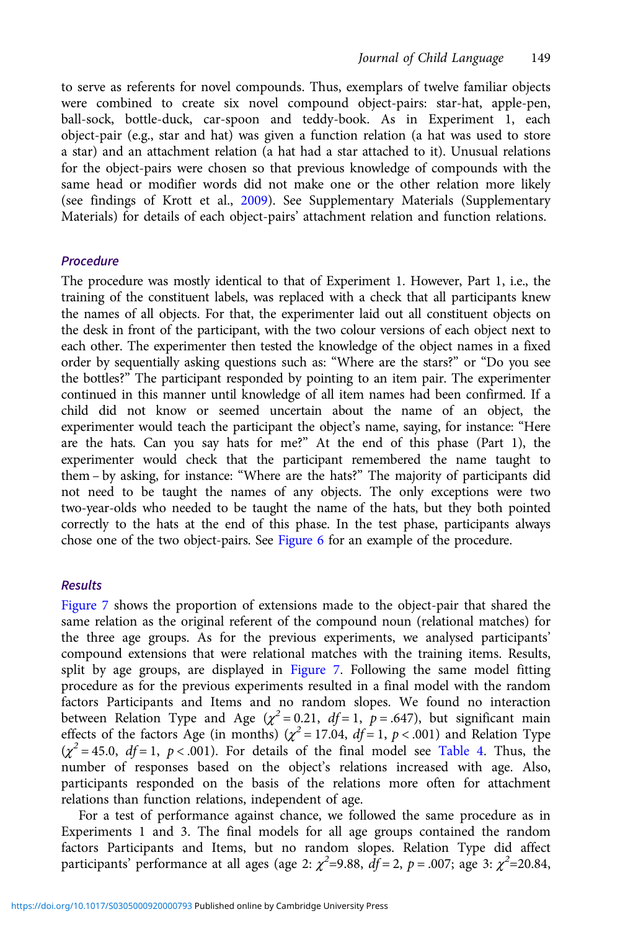to serve as referents for novel compounds. Thus, exemplars of twelve familiar objects were combined to create six novel compound object-pairs: star-hat, apple-pen, ball-sock, bottle-duck, car-spoon and teddy-book. As in Experiment 1, each object-pair (e.g., star and hat) was given a function relation (a hat was used to store a star) and an attachment relation (a hat had a star attached to it). Unusual relations for the object-pairs were chosen so that previous knowledge of compounds with the same head or modifier words did not make one or the other relation more likely (see findings of Krott et al., [2009](#page-32-0)). See Supplementary Materials (Supplementary Materials) for details of each object-pairs' attachment relation and function relations.

#### Procedure

The procedure was mostly identical to that of Experiment 1. However, Part 1, i.e., the training of the constituent labels, was replaced with a check that all participants knew the names of all objects. For that, the experimenter laid out all constituent objects on the desk in front of the participant, with the two colour versions of each object next to each other. The experimenter then tested the knowledge of the object names in a fixed order by sequentially asking questions such as: "Where are the stars?" or "Do you see the bottles?" The participant responded by pointing to an item pair. The experimenter continued in this manner until knowledge of all item names had been confirmed. If a child did not know or seemed uncertain about the name of an object, the experimenter would teach the participant the object's name, saying, for instance: "Here are the hats. Can you say hats for me?" At the end of this phase (Part 1), the experimenter would check that the participant remembered the name taught to them – by asking, for instance: "Where are the hats?" The majority of participants did not need to be taught the names of any objects. The only exceptions were two two-year-olds who needed to be taught the name of the hats, but they both pointed correctly to the hats at the end of this phase. In the test phase, participants always chose one of the two object-pairs. See [Figure 6](#page-20-0) for an example of the procedure.

#### Results

[Figure 7](#page-21-0) shows the proportion of extensions made to the object-pair that shared the same relation as the original referent of the compound noun (relational matches) for the three age groups. As for the previous experiments, we analysed participants' compound extensions that were relational matches with the training items. Results, split by age groups, are displayed in [Figure 7](#page-21-0). Following the same model fitting procedure as for the previous experiments resulted in a final model with the random factors Participants and Items and no random slopes. We found no interaction between Relation Type and Age ( $\chi^2$  = 0.21, df = 1,  $p$  = .647), but significant main effects of the factors Age (in months) ( $\chi^2$  = 17.04, df = 1, p < .001) and Relation Type  $(\chi^2 = 45.0, df = 1, p < .001)$ . For details of the final model see [Table 4](#page-21-0). Thus, the number of responses based on the object's relations increased with age. Also, participants responded on the basis of the relations more often for attachment relations than function relations, independent of age.

For a test of performance against chance, we followed the same procedure as in Experiments 1 and 3. The final models for all age groups contained the random factors Participants and Items, but no random slopes. Relation Type did affect participants' performance at all ages (age 2:  $\chi^2$ =9.88,  $df = 2$ , p = .007; age 3:  $\chi^2$ =20.84,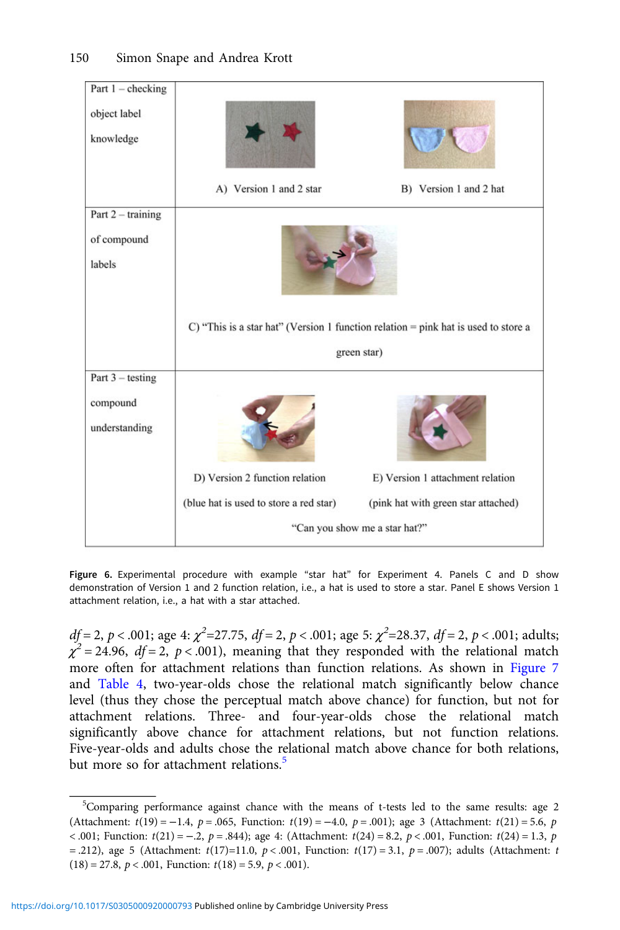<span id="page-20-0"></span>

| Part $1$ – checking       |                                        |                                                                                    |  |  |  |
|---------------------------|----------------------------------------|------------------------------------------------------------------------------------|--|--|--|
| object label<br>knowledge | A) Version 1 and 2 star                | B) Version 1 and 2 hat                                                             |  |  |  |
| Part $2 -$ training       |                                        |                                                                                    |  |  |  |
| of compound<br>labels     |                                        |                                                                                    |  |  |  |
|                           |                                        | C) "This is a star hat" (Version 1 function relation = pink hat is used to store a |  |  |  |
|                           |                                        |                                                                                    |  |  |  |
|                           |                                        | green star)                                                                        |  |  |  |
| Part $3$ – testing        |                                        |                                                                                    |  |  |  |
| compound<br>understanding |                                        |                                                                                    |  |  |  |
|                           | D) Version 2 function relation         | E) Version 1 attachment relation                                                   |  |  |  |
|                           | (blue hat is used to store a red star) | (pink hat with green star attached)                                                |  |  |  |
|                           | "Can you show me a star hat?"          |                                                                                    |  |  |  |

Figure 6. Experimental procedure with example "star hat" for Experiment 4. Panels C and D show demonstration of Version 1 and 2 function relation, i.e., a hat is used to store a star. Panel E shows Version 1 attachment relation, i.e., a hat with a star attached.

 $df = 2, p < .001;$  age 4:  $\chi^2$ =27.75,  $df = 2, p < .001;$  age 5:  $\chi^2$ =28.37,  $df = 2, p < .001;$  adults;  $\chi^2$  = 24.96, df = 2, p < .001), meaning that they responded with the relational match more often for attachment relations than function relations. As shown in [Figure 7](#page-21-0) and [Table 4](#page-21-0), two-year-olds chose the relational match significantly below chance level (thus they chose the perceptual match above chance) for function, but not for attachment relations. Three- and four-year-olds chose the relational match significantly above chance for attachment relations, but not function relations. Five-year-olds and adults chose the relational match above chance for both relations, but more so for attachment relations.<sup>5</sup>

<sup>&</sup>lt;sup>5</sup>Comparing performance against chance with the means of t-tests led to the same results: age 2 (Attachment:  $t(19) = -1.4$ ,  $p = .065$ , Function:  $t(19) = -4.0$ ,  $p = .001$ ); age 3 (Attachment:  $t(21) = 5.6$ , p <.001; Function:  $t(21) = -0.2$ ,  $p = .844$ ; age 4: (Attachment:  $t(24) = 8.2$ ,  $p < .001$ , Function:  $t(24) = 1.3$ , p  $=$  .212), age 5 (Attachment:  $t(17)=11.0$ ,  $p < .001$ , Function:  $t(17)=3.1$ ,  $p = .007$ ); adults (Attachment: t  $(18) = 27.8, p < .001,$  Function:  $t(18) = 5.9, p < .001$ .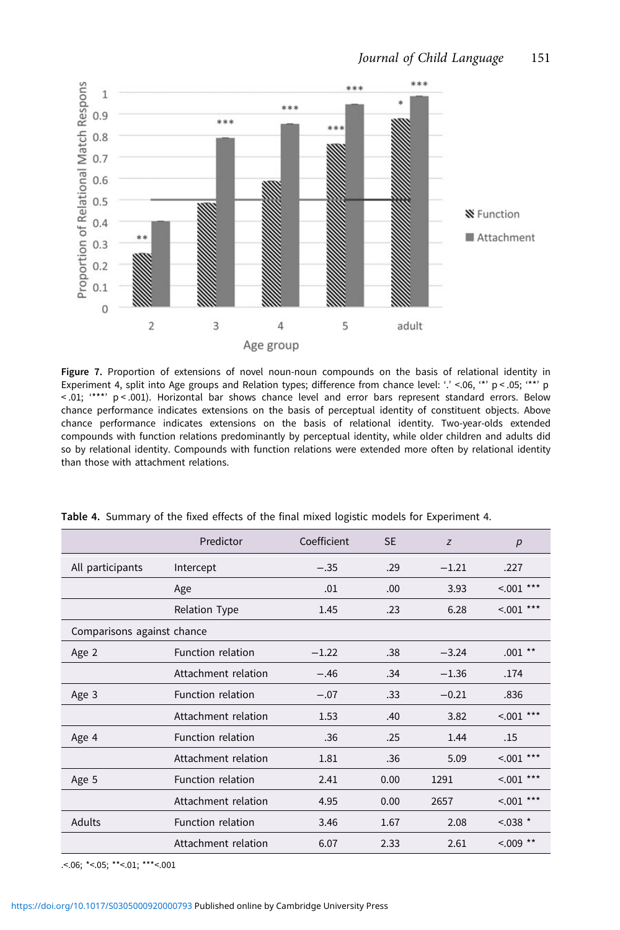<span id="page-21-0"></span>

Figure 7. Proportion of extensions of novel noun-noun compounds on the basis of relational identity in Experiment 4, split into Age groups and Relation types; difference from chance level: '.' <.06, '\*' p <.05; '\*\*' p < .01; '\*\*\*' p < .001). Horizontal bar shows chance level and error bars represent standard errors. Below chance performance indicates extensions on the basis of perceptual identity of constituent objects. Above chance performance indicates extensions on the basis of relational identity. Two-year-olds extended compounds with function relations predominantly by perceptual identity, while older children and adults did so by relational identity. Compounds with function relations were extended more often by relational identity than those with attachment relations.

|                            | Predictor                | Coefficient | <b>SE</b> | Z       | p            |
|----------------------------|--------------------------|-------------|-----------|---------|--------------|
| All participants           | Intercept                | $-.35$      | .29       | $-1.21$ | .227         |
|                            | Age                      | .01         | .00       | 3.93    | $5.001$ ***  |
|                            | <b>Relation Type</b>     | 1.45        | .23       | 6.28    | $< 0.01$ *** |
| Comparisons against chance |                          |             |           |         |              |
| Age 2                      | <b>Function relation</b> | $-1.22$     | .38       | $-3.24$ | $.001***$    |
|                            | Attachment relation      | $-.46$      | .34       | $-1.36$ | .174         |
| Age 3                      | Function relation        | $-.07$      | .33       | $-0.21$ | .836         |
|                            | Attachment relation      | 1.53        | .40       | 3.82    | $< 0.01$ *** |
| Age 4                      | <b>Function relation</b> | .36         | .25       | 1.44    | .15          |
|                            | Attachment relation      | 1.81        | .36       | 5.09    | $< 0.01$ *** |
| Age 5                      | Function relation        | 2.41        | 0.00      | 1291    | $< 0.01$ *** |
|                            | Attachment relation      | 4.95        | 0.00      | 2657    | $< 0.01$ *** |
| Adults                     | Function relation        | 3.46        | 1.67      | 2.08    | $< 0.038$ *  |
|                            | Attachment relation      | 6.07        | 2.33      | 2.61    | $< 0.009$ ** |

Table 4. Summary of the fixed effects of the final mixed logistic models for Experiment 4.

.<.06; \*<.05; \*\*<.01; \*\*\*<.001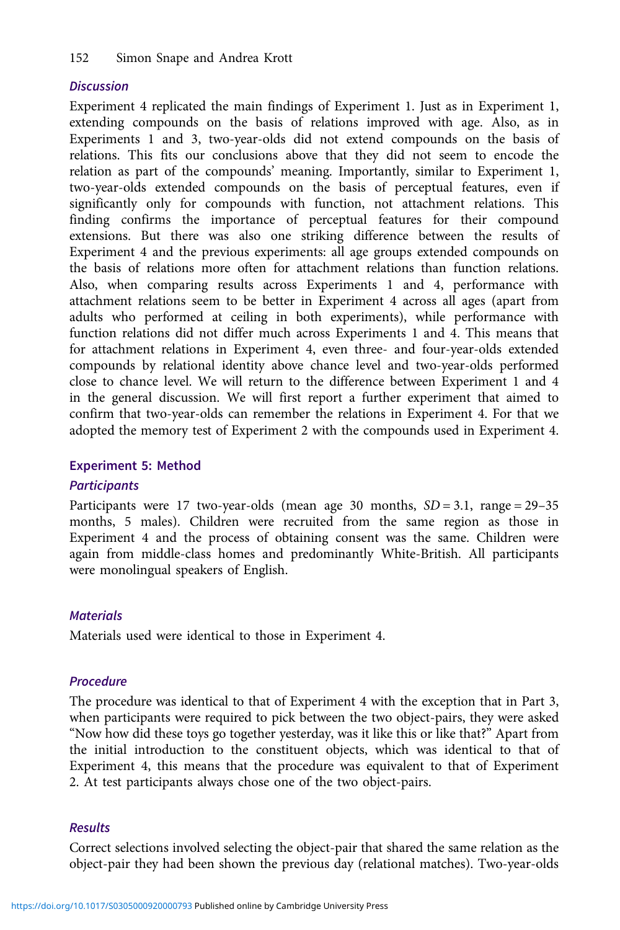#### **Discussion**

Experiment 4 replicated the main findings of Experiment 1. Just as in Experiment 1, extending compounds on the basis of relations improved with age. Also, as in Experiments 1 and 3, two-year-olds did not extend compounds on the basis of relations. This fits our conclusions above that they did not seem to encode the relation as part of the compounds' meaning. Importantly, similar to Experiment 1, two-year-olds extended compounds on the basis of perceptual features, even if significantly only for compounds with function, not attachment relations. This finding confirms the importance of perceptual features for their compound extensions. But there was also one striking difference between the results of Experiment 4 and the previous experiments: all age groups extended compounds on the basis of relations more often for attachment relations than function relations. Also, when comparing results across Experiments 1 and 4, performance with attachment relations seem to be better in Experiment 4 across all ages (apart from adults who performed at ceiling in both experiments), while performance with function relations did not differ much across Experiments 1 and 4. This means that for attachment relations in Experiment 4, even three- and four-year-olds extended compounds by relational identity above chance level and two-year-olds performed close to chance level. We will return to the difference between Experiment 1 and 4 in the general discussion. We will first report a further experiment that aimed to confirm that two-year-olds can remember the relations in Experiment 4. For that we adopted the memory test of Experiment 2 with the compounds used in Experiment 4.

#### Experiment 5: Method

#### **Participants**

Participants were 17 two-year-olds (mean age 30 months,  $SD = 3.1$ , range = 29–35 months, 5 males). Children were recruited from the same region as those in Experiment 4 and the process of obtaining consent was the same. Children were again from middle-class homes and predominantly White-British. All participants were monolingual speakers of English.

#### **Materials**

Materials used were identical to those in Experiment 4.

#### Procedure

The procedure was identical to that of Experiment 4 with the exception that in Part 3, when participants were required to pick between the two object-pairs, they were asked "Now how did these toys go together yesterday, was it like this or like that?" Apart from the initial introduction to the constituent objects, which was identical to that of Experiment 4, this means that the procedure was equivalent to that of Experiment 2. At test participants always chose one of the two object-pairs.

#### Results

Correct selections involved selecting the object-pair that shared the same relation as the object-pair they had been shown the previous day (relational matches). Two-year-olds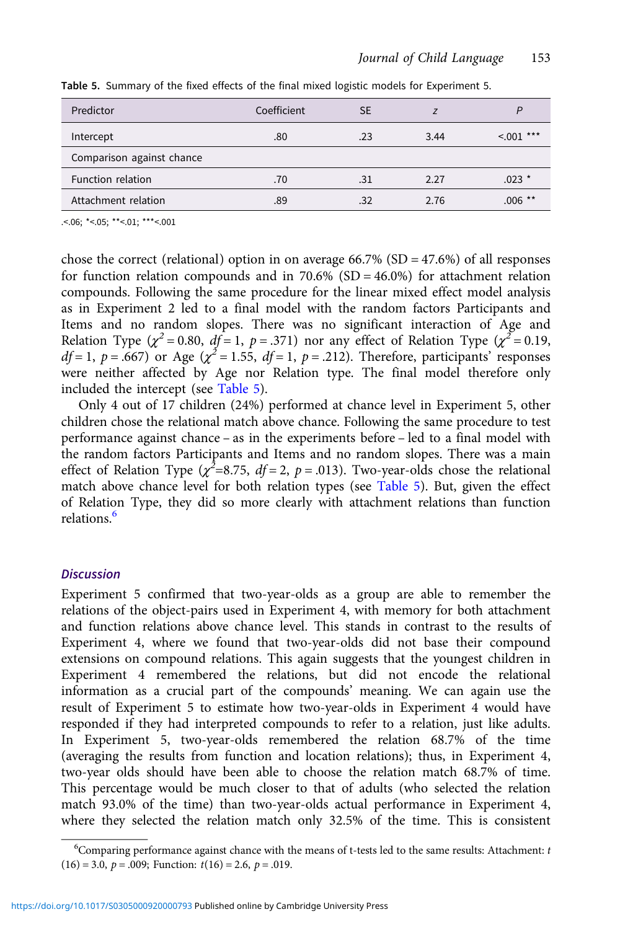| Predictor                 | Coefficient | <b>SE</b> |      | P               |
|---------------------------|-------------|-----------|------|-----------------|
| Intercept                 | .80         | .23       | 3.44 | $\leq 0.01$ *** |
| Comparison against chance |             |           |      |                 |
| Function relation         | .70         | .31       | 2.27 | $.023$ *        |
| Attachment relation       | .89         | .32       | 2.76 | $.006***$       |

Table 5. Summary of the fixed effects of the final mixed logistic models for Experiment 5.

.<.06; \*<.05; \*\*<.01; \*\*\*<.001

chose the correct (relational) option in on average  $66.7\%$  (SD = 47.6%) of all responses for function relation compounds and in  $70.6\%$  (SD = 46.0%) for attachment relation compounds. Following the same procedure for the linear mixed effect model analysis as in Experiment 2 led to a final model with the random factors Participants and Items and no random slopes. There was no significant interaction of Age and Relation Type ( $\chi^2$  = 0.80, df = 1, p = .371) nor any effect of Relation Type ( $\chi^2$  = 0.19,  $df = 1$ ,  $p = .667$ ) or Age ( $\chi^2 = 1.55$ ,  $df = 1$ ,  $p = .212$ ). Therefore, participants' responses were neither affected by Age nor Relation type. The final model therefore only included the intercept (see Table 5).

Only 4 out of 17 children (24%) performed at chance level in Experiment 5, other children chose the relational match above chance. Following the same procedure to test performance against chance – as in the experiments before – led to a final model with the random factors Participants and Items and no random slopes. There was a main effect of Relation Type ( $\chi^2$ =8.75, df = 2, p = .013). Two-year-olds chose the relational match above chance level for both relation types (see Table 5). But, given the effect of Relation Type, they did so more clearly with attachment relations than function relations.<sup>6</sup>

#### **Discussion**

Experiment 5 confirmed that two-year-olds as a group are able to remember the relations of the object-pairs used in Experiment 4, with memory for both attachment and function relations above chance level. This stands in contrast to the results of Experiment 4, where we found that two-year-olds did not base their compound extensions on compound relations. This again suggests that the youngest children in Experiment 4 remembered the relations, but did not encode the relational information as a crucial part of the compounds' meaning. We can again use the result of Experiment 5 to estimate how two-year-olds in Experiment 4 would have responded if they had interpreted compounds to refer to a relation, just like adults. In Experiment 5, two-year-olds remembered the relation 68.7% of the time (averaging the results from function and location relations); thus, in Experiment 4, two-year olds should have been able to choose the relation match 68.7% of time. This percentage would be much closer to that of adults (who selected the relation match 93.0% of the time) than two-year-olds actual performance in Experiment 4, where they selected the relation match only 32.5% of the time. This is consistent

<sup>&</sup>lt;sup>6</sup>Comparing performance against chance with the means of t-tests led to the same results: Attachment: t  $(16) = 3.0, p = .009;$  Function:  $t(16) = 2.6, p = .019.$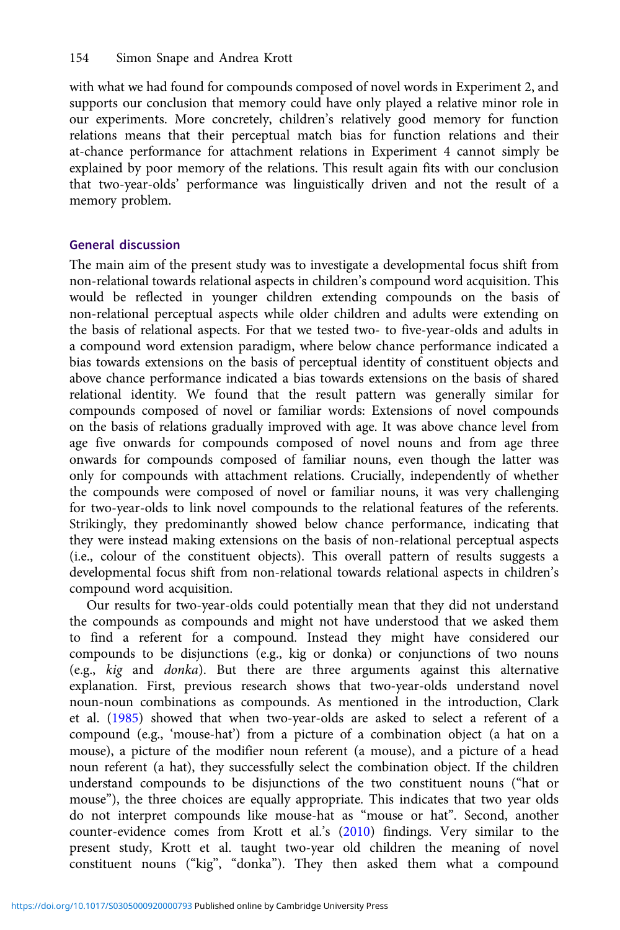with what we had found for compounds composed of novel words in Experiment 2, and supports our conclusion that memory could have only played a relative minor role in our experiments. More concretely, children's relatively good memory for function relations means that their perceptual match bias for function relations and their at-chance performance for attachment relations in Experiment 4 cannot simply be explained by poor memory of the relations. This result again fits with our conclusion that two-year-olds' performance was linguistically driven and not the result of a memory problem.

#### General discussion

The main aim of the present study was to investigate a developmental focus shift from non-relational towards relational aspects in children's compound word acquisition. This would be reflected in younger children extending compounds on the basis of non-relational perceptual aspects while older children and adults were extending on the basis of relational aspects. For that we tested two- to five-year-olds and adults in a compound word extension paradigm, where below chance performance indicated a bias towards extensions on the basis of perceptual identity of constituent objects and above chance performance indicated a bias towards extensions on the basis of shared relational identity. We found that the result pattern was generally similar for compounds composed of novel or familiar words: Extensions of novel compounds on the basis of relations gradually improved with age. It was above chance level from age five onwards for compounds composed of novel nouns and from age three onwards for compounds composed of familiar nouns, even though the latter was only for compounds with attachment relations. Crucially, independently of whether the compounds were composed of novel or familiar nouns, it was very challenging for two-year-olds to link novel compounds to the relational features of the referents. Strikingly, they predominantly showed below chance performance, indicating that they were instead making extensions on the basis of non-relational perceptual aspects (i.e., colour of the constituent objects). This overall pattern of results suggests a developmental focus shift from non-relational towards relational aspects in children's compound word acquisition.

Our results for two-year-olds could potentially mean that they did not understand the compounds as compounds and might not have understood that we asked them to find a referent for a compound. Instead they might have considered our compounds to be disjunctions (e.g., kig or donka) or conjunctions of two nouns (e.g., kig and donka). But there are three arguments against this alternative explanation. First, previous research shows that two-year-olds understand novel noun-noun combinations as compounds. As mentioned in the introduction, Clark et al. ([1985](#page-31-0)) showed that when two-year-olds are asked to select a referent of a compound (e.g., 'mouse-hat') from a picture of a combination object (a hat on a mouse), a picture of the modifier noun referent (a mouse), and a picture of a head noun referent (a hat), they successfully select the combination object. If the children understand compounds to be disjunctions of the two constituent nouns ("hat or mouse"), the three choices are equally appropriate. This indicates that two year olds do not interpret compounds like mouse-hat as "mouse or hat". Second, another counter-evidence comes from Krott et al.'s ([2010](#page-32-0)) findings. Very similar to the present study, Krott et al. taught two-year old children the meaning of novel constituent nouns ("kig", "donka"). They then asked them what a compound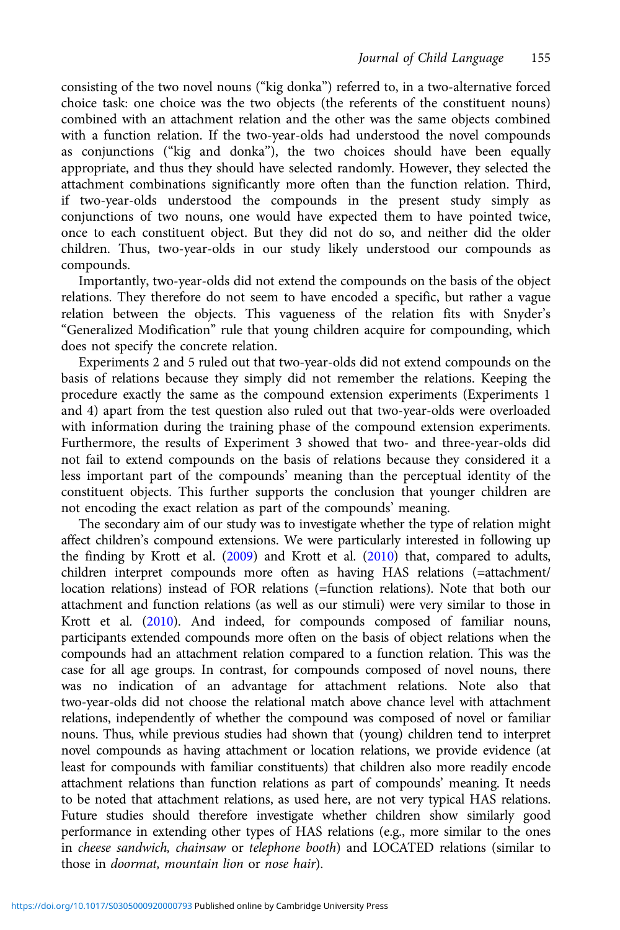consisting of the two novel nouns ("kig donka") referred to, in a two-alternative forced choice task: one choice was the two objects (the referents of the constituent nouns) combined with an attachment relation and the other was the same objects combined with a function relation. If the two-year-olds had understood the novel compounds as conjunctions ("kig and donka"), the two choices should have been equally appropriate, and thus they should have selected randomly. However, they selected the attachment combinations significantly more often than the function relation. Third, if two-year-olds understood the compounds in the present study simply as conjunctions of two nouns, one would have expected them to have pointed twice, once to each constituent object. But they did not do so, and neither did the older children. Thus, two-year-olds in our study likely understood our compounds as compounds.

Importantly, two-year-olds did not extend the compounds on the basis of the object relations. They therefore do not seem to have encoded a specific, but rather a vague relation between the objects. This vagueness of the relation fits with Snyder's "Generalized Modification" rule that young children acquire for compounding, which does not specify the concrete relation.

Experiments 2 and 5 ruled out that two-year-olds did not extend compounds on the basis of relations because they simply did not remember the relations. Keeping the procedure exactly the same as the compound extension experiments (Experiments 1 and 4) apart from the test question also ruled out that two-year-olds were overloaded with information during the training phase of the compound extension experiments. Furthermore, the results of Experiment 3 showed that two- and three-year-olds did not fail to extend compounds on the basis of relations because they considered it a less important part of the compounds' meaning than the perceptual identity of the constituent objects. This further supports the conclusion that younger children are not encoding the exact relation as part of the compounds' meaning.

The secondary aim of our study was to investigate whether the type of relation might affect children's compound extensions. We were particularly interested in following up the finding by Krott et al. [\(2009\)](#page-32-0) and Krott et al. [\(2010\)](#page-32-0) that, compared to adults, children interpret compounds more often as having HAS relations (=attachment/ location relations) instead of FOR relations (=function relations). Note that both our attachment and function relations (as well as our stimuli) were very similar to those in Krott et al. [\(2010](#page-32-0)). And indeed, for compounds composed of familiar nouns, participants extended compounds more often on the basis of object relations when the compounds had an attachment relation compared to a function relation. This was the case for all age groups. In contrast, for compounds composed of novel nouns, there was no indication of an advantage for attachment relations. Note also that two-year-olds did not choose the relational match above chance level with attachment relations, independently of whether the compound was composed of novel or familiar nouns. Thus, while previous studies had shown that (young) children tend to interpret novel compounds as having attachment or location relations, we provide evidence (at least for compounds with familiar constituents) that children also more readily encode attachment relations than function relations as part of compounds' meaning. It needs to be noted that attachment relations, as used here, are not very typical HAS relations. Future studies should therefore investigate whether children show similarly good performance in extending other types of HAS relations (e.g., more similar to the ones in cheese sandwich, chainsaw or telephone booth) and LOCATED relations (similar to those in doormat, mountain lion or nose hair).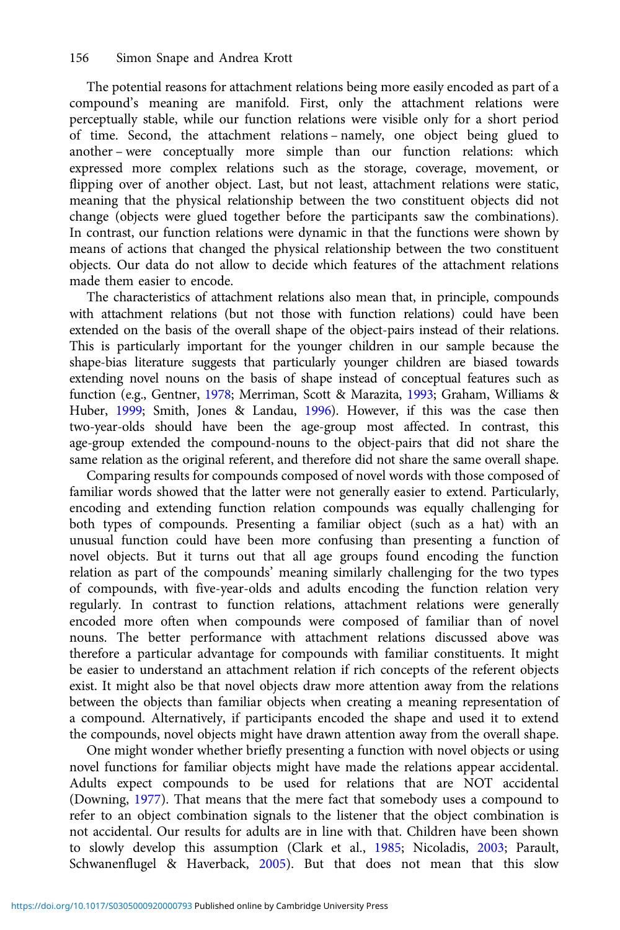The potential reasons for attachment relations being more easily encoded as part of a compound's meaning are manifold. First, only the attachment relations were perceptually stable, while our function relations were visible only for a short period of time. Second, the attachment relations – namely, one object being glued to another – were conceptually more simple than our function relations: which expressed more complex relations such as the storage, coverage, movement, or flipping over of another object. Last, but not least, attachment relations were static, meaning that the physical relationship between the two constituent objects did not change (objects were glued together before the participants saw the combinations). In contrast, our function relations were dynamic in that the functions were shown by means of actions that changed the physical relationship between the two constituent objects. Our data do not allow to decide which features of the attachment relations made them easier to encode.

The characteristics of attachment relations also mean that, in principle, compounds with attachment relations (but not those with function relations) could have been extended on the basis of the overall shape of the object-pairs instead of their relations. This is particularly important for the younger children in our sample because the shape-bias literature suggests that particularly younger children are biased towards extending novel nouns on the basis of shape instead of conceptual features such as function (e.g., Gentner, [1978;](#page-31-0) Merriman, Scott & Marazita, [1993](#page-32-0); Graham, Williams & Huber, [1999;](#page-31-0) Smith, Jones & Landau, [1996](#page-32-0)). However, if this was the case then two-year-olds should have been the age-group most affected. In contrast, this age-group extended the compound-nouns to the object-pairs that did not share the same relation as the original referent, and therefore did not share the same overall shape.

Comparing results for compounds composed of novel words with those composed of familiar words showed that the latter were not generally easier to extend. Particularly, encoding and extending function relation compounds was equally challenging for both types of compounds. Presenting a familiar object (such as a hat) with an unusual function could have been more confusing than presenting a function of novel objects. But it turns out that all age groups found encoding the function relation as part of the compounds' meaning similarly challenging for the two types of compounds, with five-year-olds and adults encoding the function relation very regularly. In contrast to function relations, attachment relations were generally encoded more often when compounds were composed of familiar than of novel nouns. The better performance with attachment relations discussed above was therefore a particular advantage for compounds with familiar constituents. It might be easier to understand an attachment relation if rich concepts of the referent objects exist. It might also be that novel objects draw more attention away from the relations between the objects than familiar objects when creating a meaning representation of a compound. Alternatively, if participants encoded the shape and used it to extend the compounds, novel objects might have drawn attention away from the overall shape.

One might wonder whether briefly presenting a function with novel objects or using novel functions for familiar objects might have made the relations appear accidental. Adults expect compounds to be used for relations that are NOT accidental (Downing, [1977\)](#page-31-0). That means that the mere fact that somebody uses a compound to refer to an object combination signals to the listener that the object combination is not accidental. Our results for adults are in line with that. Children have been shown to slowly develop this assumption (Clark et al., [1985;](#page-31-0) Nicoladis, [2003](#page-32-0); Parault, Schwanenflugel & Haverback, [2005\)](#page-32-0). But that does not mean that this slow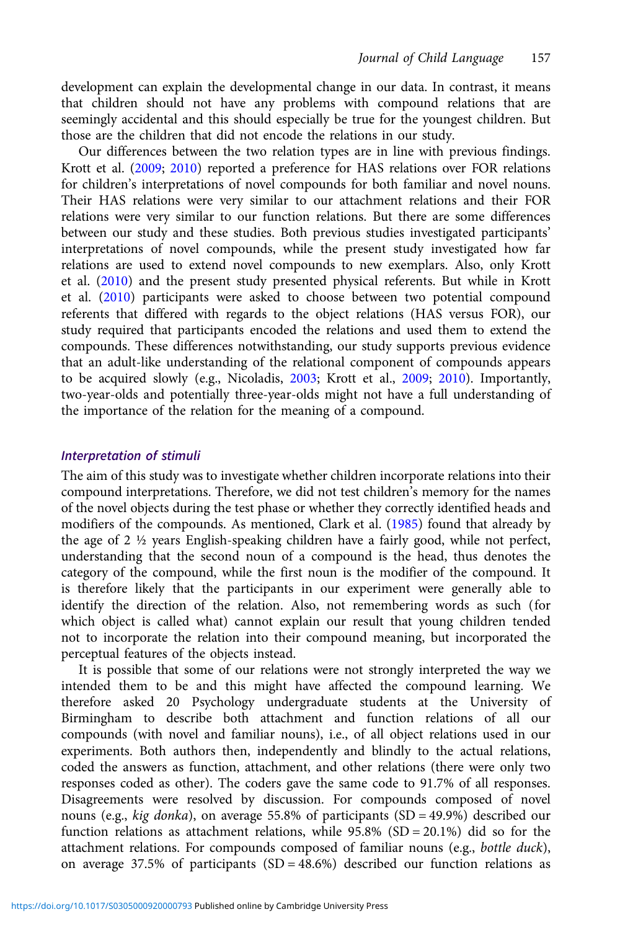development can explain the developmental change in our data. In contrast, it means that children should not have any problems with compound relations that are seemingly accidental and this should especially be true for the youngest children. But those are the children that did not encode the relations in our study.

Our differences between the two relation types are in line with previous findings. Krott et al. ([2009](#page-32-0); [2010\)](#page-32-0) reported a preference for HAS relations over FOR relations for children's interpretations of novel compounds for both familiar and novel nouns. Their HAS relations were very similar to our attachment relations and their FOR relations were very similar to our function relations. But there are some differences between our study and these studies. Both previous studies investigated participants' interpretations of novel compounds, while the present study investigated how far relations are used to extend novel compounds to new exemplars. Also, only Krott et al. [\(2010\)](#page-32-0) and the present study presented physical referents. But while in Krott et al. ([2010\)](#page-32-0) participants were asked to choose between two potential compound referents that differed with regards to the object relations (HAS versus FOR), our study required that participants encoded the relations and used them to extend the compounds. These differences notwithstanding, our study supports previous evidence that an adult-like understanding of the relational component of compounds appears to be acquired slowly (e.g., Nicoladis, [2003](#page-32-0); Krott et al., [2009](#page-32-0); [2010\)](#page-32-0). Importantly, two-year-olds and potentially three-year-olds might not have a full understanding of the importance of the relation for the meaning of a compound.

#### Interpretation of stimuli

The aim of this study was to investigate whether children incorporate relations into their compound interpretations. Therefore, we did not test children's memory for the names of the novel objects during the test phase or whether they correctly identified heads and modifiers of the compounds. As mentioned, Clark et al. ([1985\)](#page-31-0) found that already by the age of 2 ½ years English-speaking children have a fairly good, while not perfect, understanding that the second noun of a compound is the head, thus denotes the category of the compound, while the first noun is the modifier of the compound. It is therefore likely that the participants in our experiment were generally able to identify the direction of the relation. Also, not remembering words as such (for which object is called what) cannot explain our result that young children tended not to incorporate the relation into their compound meaning, but incorporated the perceptual features of the objects instead.

It is possible that some of our relations were not strongly interpreted the way we intended them to be and this might have affected the compound learning. We therefore asked 20 Psychology undergraduate students at the University of Birmingham to describe both attachment and function relations of all our compounds (with novel and familiar nouns), i.e., of all object relations used in our experiments. Both authors then, independently and blindly to the actual relations, coded the answers as function, attachment, and other relations (there were only two responses coded as other). The coders gave the same code to 91.7% of all responses. Disagreements were resolved by discussion. For compounds composed of novel nouns (e.g., kig donka), on average 55.8% of participants (SD = 49.9%) described our function relations as attachment relations, while  $95.8\%$  (SD = 20.1%) did so for the attachment relations. For compounds composed of familiar nouns (e.g., bottle duck), on average  $37.5\%$  of participants (SD = 48.6%) described our function relations as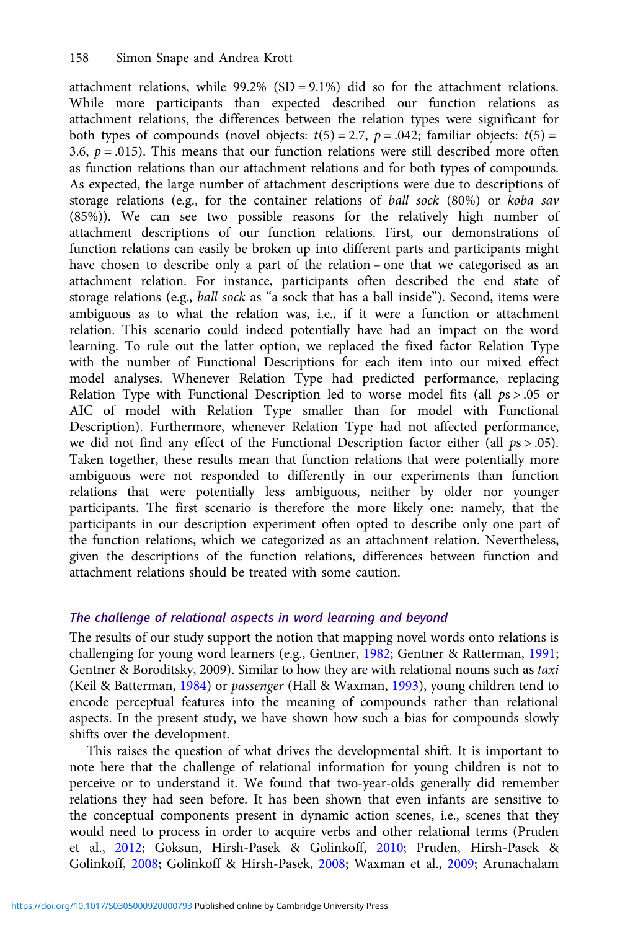attachment relations, while  $99.2\%$  (SD = 9.1%) did so for the attachment relations. While more participants than expected described our function relations as attachment relations, the differences between the relation types were significant for both types of compounds (novel objects:  $t(5) = 2.7$ ,  $p = .042$ ; familiar objects:  $t(5) =$ 3.6,  $p = .015$ ). This means that our function relations were still described more often as function relations than our attachment relations and for both types of compounds. As expected, the large number of attachment descriptions were due to descriptions of storage relations (e.g., for the container relations of ball sock (80%) or koba sav (85%)). We can see two possible reasons for the relatively high number of attachment descriptions of our function relations. First, our demonstrations of function relations can easily be broken up into different parts and participants might have chosen to describe only a part of the relation – one that we categorised as an attachment relation. For instance, participants often described the end state of storage relations (e.g., ball sock as "a sock that has a ball inside"). Second, items were ambiguous as to what the relation was, i.e., if it were a function or attachment relation. This scenario could indeed potentially have had an impact on the word learning. To rule out the latter option, we replaced the fixed factor Relation Type with the number of Functional Descriptions for each item into our mixed effect model analyses. Whenever Relation Type had predicted performance, replacing Relation Type with Functional Description led to worse model fits (all ps > .05 or AIC of model with Relation Type smaller than for model with Functional Description). Furthermore, whenever Relation Type had not affected performance, we did not find any effect of the Functional Description factor either (all  $ps > .05$ ). Taken together, these results mean that function relations that were potentially more ambiguous were not responded to differently in our experiments than function relations that were potentially less ambiguous, neither by older nor younger participants. The first scenario is therefore the more likely one: namely, that the participants in our description experiment often opted to describe only one part of the function relations, which we categorized as an attachment relation. Nevertheless, given the descriptions of the function relations, differences between function and attachment relations should be treated with some caution.

#### The challenge of relational aspects in word learning and beyond

The results of our study support the notion that mapping novel words onto relations is challenging for young word learners (e.g., Gentner, [1982](#page-31-0); Gentner & Ratterman, [1991](#page-31-0); Gentner & Boroditsky, 2009). Similar to how they are with relational nouns such as taxi (Keil & Batterman, [1984\)](#page-32-0) or passenger (Hall & Waxman, [1993](#page-32-0)), young children tend to encode perceptual features into the meaning of compounds rather than relational aspects. In the present study, we have shown how such a bias for compounds slowly shifts over the development.

This raises the question of what drives the developmental shift. It is important to note here that the challenge of relational information for young children is not to perceive or to understand it. We found that two-year-olds generally did remember relations they had seen before. It has been shown that even infants are sensitive to the conceptual components present in dynamic action scenes, i.e., scenes that they would need to process in order to acquire verbs and other relational terms (Pruden et al., [2012;](#page-32-0) Goksun, Hirsh-Pasek & Golinkoff, [2010](#page-31-0); Pruden, Hirsh-Pasek & Golinkoff, [2008](#page-32-0); Golinkoff & Hirsh-Pasek, [2008](#page-31-0); Waxman et al., [2009;](#page-33-0) Arunachalam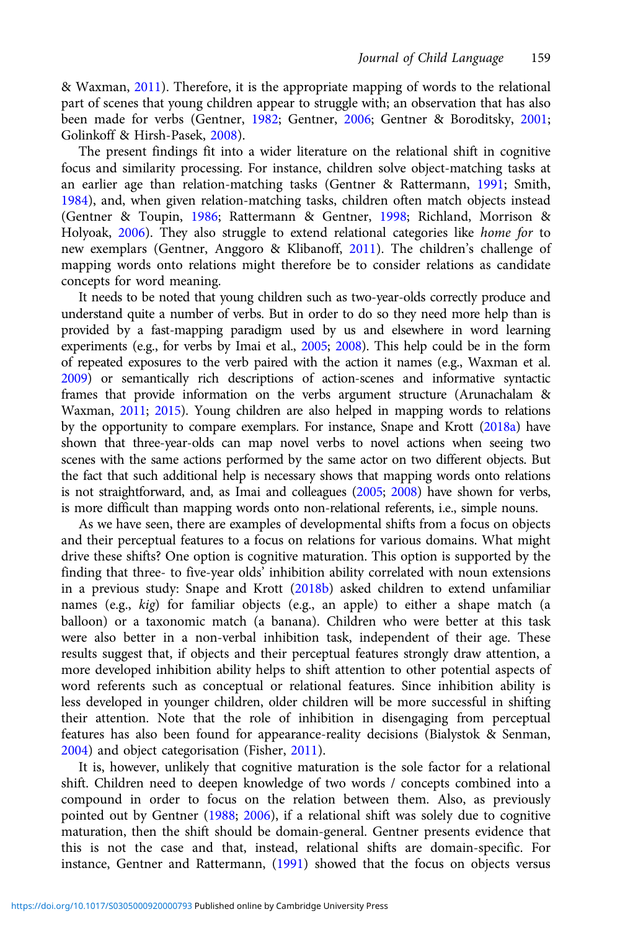& Waxman, [2011](#page-31-0)). Therefore, it is the appropriate mapping of words to the relational part of scenes that young children appear to struggle with; an observation that has also been made for verbs (Gentner, [1982](#page-31-0); Gentner, [2006;](#page-31-0) Gentner & Boroditsky, [2001;](#page-31-0) Golinkoff & Hirsh-Pasek, [2008\)](#page-31-0).

The present findings fit into a wider literature on the relational shift in cognitive focus and similarity processing. For instance, children solve object-matching tasks at an earlier age than relation-matching tasks (Gentner & Rattermann, [1991](#page-31-0); Smith, [1984](#page-32-0)), and, when given relation-matching tasks, children often match objects instead (Gentner & Toupin, [1986](#page-31-0); Rattermann & Gentner, [1998;](#page-32-0) Richland, Morrison & Holyoak, [2006\)](#page-32-0). They also struggle to extend relational categories like home for to new exemplars (Gentner, Anggoro & Klibanoff, [2011](#page-31-0)). The children's challenge of mapping words onto relations might therefore be to consider relations as candidate concepts for word meaning.

It needs to be noted that young children such as two-year-olds correctly produce and understand quite a number of verbs. But in order to do so they need more help than is provided by a fast-mapping paradigm used by us and elsewhere in word learning experiments (e.g., for verbs by Imai et al., [2005](#page-32-0); [2008](#page-32-0)). This help could be in the form of repeated exposures to the verb paired with the action it names (e.g., Waxman et al. [2009\)](#page-33-0) or semantically rich descriptions of action-scenes and informative syntactic frames that provide information on the verbs argument structure (Arunachalam & Waxman, [2011](#page-31-0); [2015\)](#page-31-0). Young children are also helped in mapping words to relations by the opportunity to compare exemplars. For instance, Snape and Krott [\(2018a\)](#page-32-0) have shown that three-year-olds can map novel verbs to novel actions when seeing two scenes with the same actions performed by the same actor on two different objects. But the fact that such additional help is necessary shows that mapping words onto relations is not straightforward, and, as Imai and colleagues ([2005;](#page-32-0) [2008\)](#page-32-0) have shown for verbs, is more difficult than mapping words onto non-relational referents, i.e., simple nouns.

As we have seen, there are examples of developmental shifts from a focus on objects and their perceptual features to a focus on relations for various domains. What might drive these shifts? One option is cognitive maturation. This option is supported by the finding that three- to five-year olds' inhibition ability correlated with noun extensions in a previous study: Snape and Krott ([2018b\)](#page-32-0) asked children to extend unfamiliar names (e.g., kig) for familiar objects (e.g., an apple) to either a shape match (a balloon) or a taxonomic match (a banana). Children who were better at this task were also better in a non-verbal inhibition task, independent of their age. These results suggest that, if objects and their perceptual features strongly draw attention, a more developed inhibition ability helps to shift attention to other potential aspects of word referents such as conceptual or relational features. Since inhibition ability is less developed in younger children, older children will be more successful in shifting their attention. Note that the role of inhibition in disengaging from perceptual features has also been found for appearance-reality decisions (Bialystok & Senman, [2004](#page-31-0)) and object categorisation (Fisher, [2011\)](#page-31-0).

It is, however, unlikely that cognitive maturation is the sole factor for a relational shift. Children need to deepen knowledge of two words / concepts combined into a compound in order to focus on the relation between them. Also, as previously pointed out by Gentner ([1988;](#page-31-0) [2006\)](#page-31-0), if a relational shift was solely due to cognitive maturation, then the shift should be domain-general. Gentner presents evidence that this is not the case and that, instead, relational shifts are domain-specific. For instance, Gentner and Rattermann, [\(1991](#page-31-0)) showed that the focus on objects versus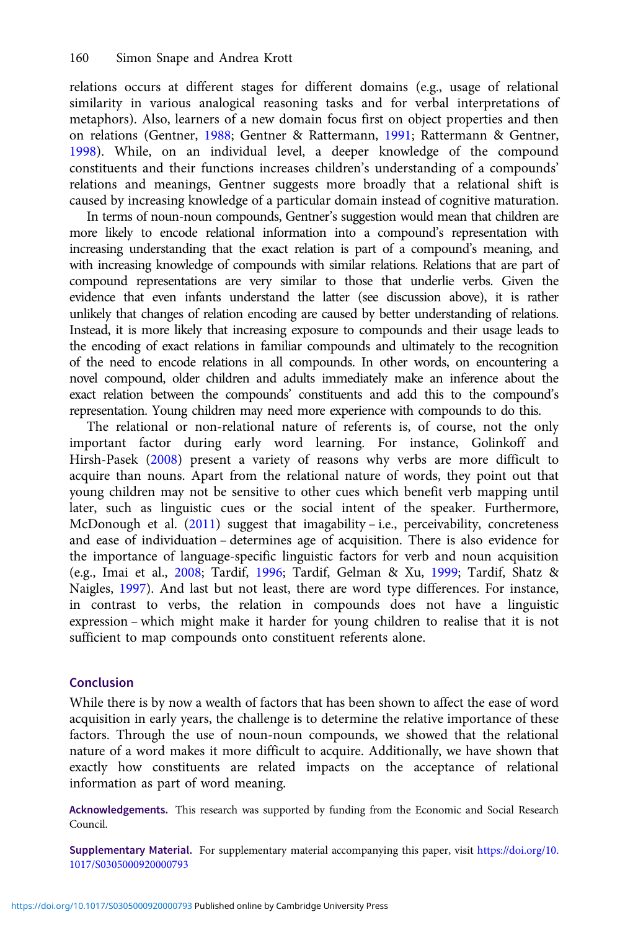relations occurs at different stages for different domains (e.g., usage of relational similarity in various analogical reasoning tasks and for verbal interpretations of metaphors). Also, learners of a new domain focus first on object properties and then on relations (Gentner, [1988;](#page-31-0) Gentner & Rattermann, [1991;](#page-31-0) Rattermann & Gentner, [1998\)](#page-32-0). While, on an individual level, a deeper knowledge of the compound constituents and their functions increases children's understanding of a compounds' relations and meanings, Gentner suggests more broadly that a relational shift is caused by increasing knowledge of a particular domain instead of cognitive maturation.

In terms of noun-noun compounds, Gentner's suggestion would mean that children are more likely to encode relational information into a compound's representation with increasing understanding that the exact relation is part of a compound's meaning, and with increasing knowledge of compounds with similar relations. Relations that are part of compound representations are very similar to those that underlie verbs. Given the evidence that even infants understand the latter (see discussion above), it is rather unlikely that changes of relation encoding are caused by better understanding of relations. Instead, it is more likely that increasing exposure to compounds and their usage leads to the encoding of exact relations in familiar compounds and ultimately to the recognition of the need to encode relations in all compounds. In other words, on encountering a novel compound, older children and adults immediately make an inference about the exact relation between the compounds' constituents and add this to the compound's representation. Young children may need more experience with compounds to do this.

The relational or non-relational nature of referents is, of course, not the only important factor during early word learning. For instance, Golinkoff and Hirsh-Pasek ([2008](#page-31-0)) present a variety of reasons why verbs are more difficult to acquire than nouns. Apart from the relational nature of words, they point out that young children may not be sensitive to other cues which benefit verb mapping until later, such as linguistic cues or the social intent of the speaker. Furthermore, McDonough et al. [\(2011](#page-32-0)) suggest that imagability – i.e., perceivability, concreteness and ease of individuation – determines age of acquisition. There is also evidence for the importance of language-specific linguistic factors for verb and noun acquisition (e.g., Imai et al., [2008;](#page-32-0) Tardif, [1996](#page-33-0); Tardif, Gelman & Xu, [1999](#page-33-0); Tardif, Shatz & Naigles, [1997\)](#page-33-0). And last but not least, there are word type differences. For instance, in contrast to verbs, the relation in compounds does not have a linguistic expression – which might make it harder for young children to realise that it is not sufficient to map compounds onto constituent referents alone.

#### Conclusion

While there is by now a wealth of factors that has been shown to affect the ease of word acquisition in early years, the challenge is to determine the relative importance of these factors. Through the use of noun-noun compounds, we showed that the relational nature of a word makes it more difficult to acquire. Additionally, we have shown that exactly how constituents are related impacts on the acceptance of relational information as part of word meaning.

Acknowledgements. This research was supported by funding from the Economic and Social Research Council.

Supplementary Material. For supplementary material accompanying this paper, visit [https://doi.org/10.](https://doi.org/10.1017/S0305000920000793) [1017/S0305000920000793](https://doi.org/10.1017/S0305000920000793)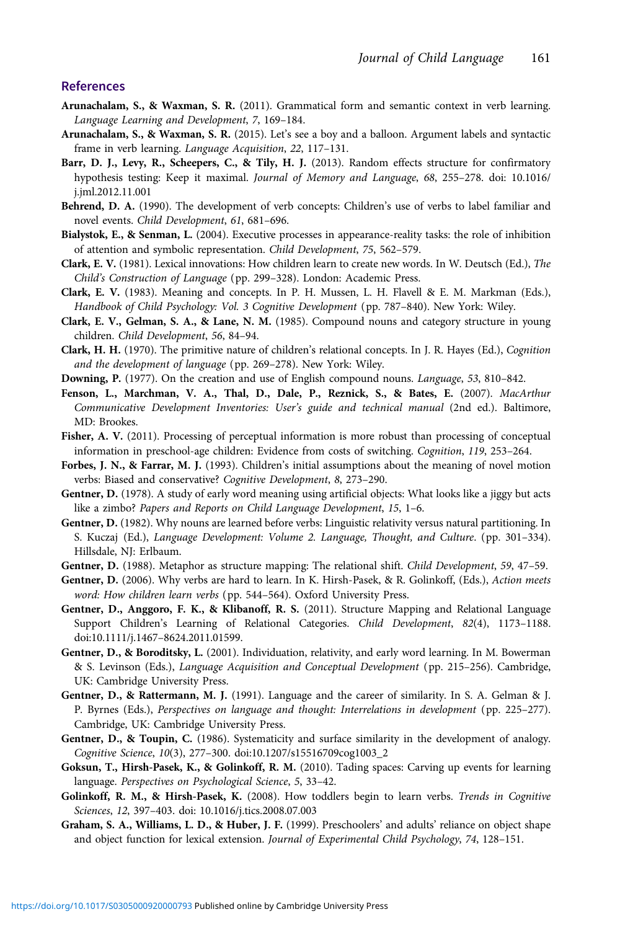#### <span id="page-31-0"></span>References

- Arunachalam, S., & Waxman, S. R. (2011). Grammatical form and semantic context in verb learning. Language Learning and Development, 7, 169–184.
- Arunachalam, S., & Waxman, S. R. (2015). Let's see a boy and a balloon. Argument labels and syntactic frame in verb learning. Language Acquisition, 22, 117–131.
- Barr, D. J., Levy, R., Scheepers, C., & Tily, H. J. (2013). Random effects structure for confirmatory hypothesis testing: Keep it maximal. Journal of Memory and Language, 68, 255–278. doi: 10.1016/ j.jml.2012.11.001
- Behrend, D. A. (1990). The development of verb concepts: Children's use of verbs to label familiar and novel events. Child Development, 61, 681–696.
- Bialystok, E., & Senman, L. (2004). Executive processes in appearance-reality tasks: the role of inhibition of attention and symbolic representation. Child Development, 75, 562–579.
- Clark, E. V. (1981). Lexical innovations: How children learn to create new words. In W. Deutsch (Ed.), The Child's Construction of Language (pp. 299–328). London: Academic Press.
- Clark, E. V. (1983). Meaning and concepts. In P. H. Mussen, L. H. Flavell & E. M. Markman (Eds.), Handbook of Child Psychology: Vol. 3 Cognitive Development (pp. 787–840). New York: Wiley.
- Clark, E. V., Gelman, S. A., & Lane, N. M. (1985). Compound nouns and category structure in young children. Child Development, 56, 84–94.
- Clark, H. H. (1970). The primitive nature of children's relational concepts. In J. R. Hayes (Ed.), Cognition and the development of language (pp. 269–278). New York: Wiley.
- Downing, P. (1977). On the creation and use of English compound nouns. Language, 53, 810–842.
- Fenson, L., Marchman, V. A., Thal, D., Dale, P., Reznick, S., & Bates, E. (2007). MacArthur Communicative Development Inventories: User's guide and technical manual (2nd ed.). Baltimore, MD: Brookes.
- Fisher, A. V. (2011). Processing of perceptual information is more robust than processing of conceptual information in preschool-age children: Evidence from costs of switching. Cognition, 119, 253–264.
- Forbes, J. N., & Farrar, M. J. (1993). Children's initial assumptions about the meaning of novel motion verbs: Biased and conservative? Cognitive Development, 8, 273–290.
- Gentner, D. (1978). A study of early word meaning using artificial objects: What looks like a jiggy but acts like a zimbo? Papers and Reports on Child Language Development, 15, 1–6.
- Gentner, D. (1982). Why nouns are learned before verbs: Linguistic relativity versus natural partitioning. In S. Kuczaj (Ed.), Language Development: Volume 2. Language, Thought, and Culture. (pp. 301–334). Hillsdale, NJ: Erlbaum.
- Gentner, D. (1988). Metaphor as structure mapping: The relational shift. Child Development, 59, 47–59.
- Gentner, D. (2006). Why verbs are hard to learn. In K. Hirsh-Pasek, & R. Golinkoff, (Eds.), Action meets word: How children learn verbs (pp. 544–564). Oxford University Press.
- Gentner, D., Anggoro, F. K., & Klibanoff, R. S. (2011). Structure Mapping and Relational Language Support Children's Learning of Relational Categories. Child Development, 82(4), 1173–1188. doi:10.1111/j.1467–8624.2011.01599.
- Gentner, D., & Boroditsky, L. (2001). Individuation, relativity, and early word learning. In M. Bowerman & S. Levinson (Eds.), Language Acquisition and Conceptual Development (pp. 215–256). Cambridge, UK: Cambridge University Press.
- Gentner, D., & Rattermann, M. J. (1991). Language and the career of similarity. In S. A. Gelman & J. P. Byrnes (Eds.), Perspectives on language and thought: Interrelations in development (pp. 225–277). Cambridge, UK: Cambridge University Press.
- Gentner, D., & Toupin, C. (1986). Systematicity and surface similarity in the development of analogy. Cognitive Science, 10(3), 277–300. doi:10.1207/s15516709cog1003\_2
- Goksun, T., Hirsh-Pasek, K., & Golinkoff, R. M. (2010). Tading spaces: Carving up events for learning language. Perspectives on Psychological Science, 5, 33–42.
- Golinkoff, R. M., & Hirsh-Pasek, K. (2008). How toddlers begin to learn verbs. Trends in Cognitive Sciences, 12, 397–403. doi: 10.1016/j.tics.2008.07.003
- Graham, S. A., Williams, L. D., & Huber, J. F. (1999). Preschoolers' and adults' reliance on object shape and object function for lexical extension. Journal of Experimental Child Psychology, 74, 128–151.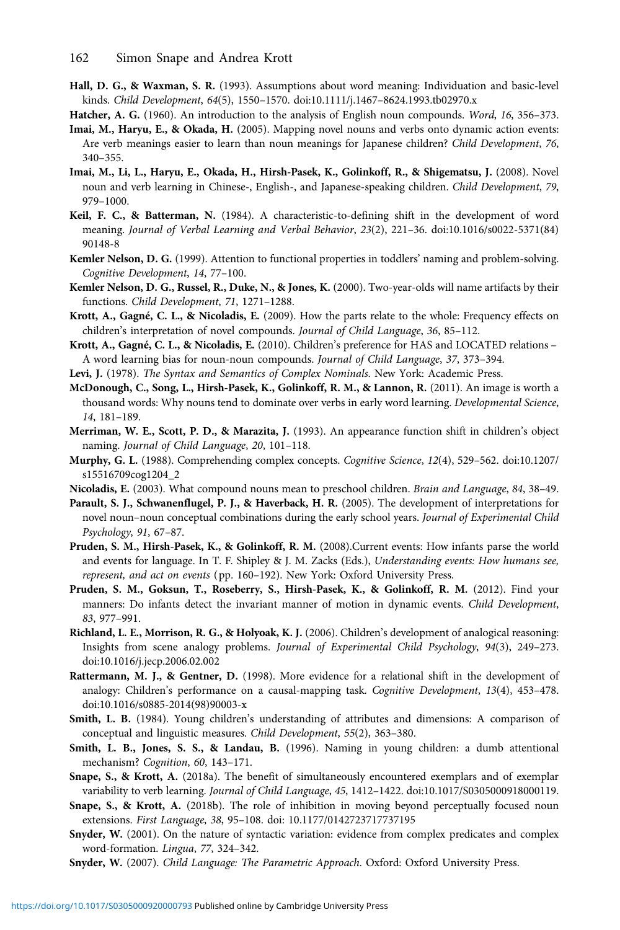- <span id="page-32-0"></span>Hall, D. G., & Waxman, S. R. (1993). Assumptions about word meaning: Individuation and basic-level kinds. Child Development, 64(5), 1550–1570. doi:10.1111/j.1467–8624.1993.tb02970.x
- Hatcher, A. G. (1960). An introduction to the analysis of English noun compounds. Word, 16, 356–373.
- Imai, M., Haryu, E., & Okada, H. (2005). Mapping novel nouns and verbs onto dynamic action events: Are verb meanings easier to learn than noun meanings for Japanese children? Child Development, 76, 340–355.
- Imai, M., Li, L., Haryu, E., Okada, H., Hirsh-Pasek, K., Golinkoff, R., & Shigematsu, J. (2008). Novel noun and verb learning in Chinese-, English-, and Japanese-speaking children. Child Development, 79, 979–1000.
- Keil, F. C., & Batterman, N. (1984). A characteristic-to-defining shift in the development of word meaning. Journal of Verbal Learning and Verbal Behavior, 23(2), 221–36. doi:10.1016/s0022-5371(84) 90148-8
- Kemler Nelson, D. G. (1999). Attention to functional properties in toddlers' naming and problem-solving. Cognitive Development, 14, 77–100.
- Kemler Nelson, D. G., Russel, R., Duke, N., & Jones, K. (2000). Two-year-olds will name artifacts by their functions. Child Development, 71, 1271–1288.
- Krott, A., Gagné, C. L., & Nicoladis, E. (2009). How the parts relate to the whole: Frequency effects on children's interpretation of novel compounds. Journal of Child Language, 36, 85–112.
- Krott, A., Gagné, C. L., & Nicoladis, E. (2010). Children's preference for HAS and LOCATED relations A word learning bias for noun-noun compounds. Journal of Child Language, 37, 373–394.
- Levi, J. (1978). The Syntax and Semantics of Complex Nominals. New York: Academic Press.
- McDonough, C., Song, L., Hirsh-Pasek, K., Golinkoff, R. M., & Lannon, R. (2011). An image is worth a thousand words: Why nouns tend to dominate over verbs in early word learning. Developmental Science, 14, 181–189.
- Merriman, W. E., Scott, P. D., & Marazita, J. (1993). An appearance function shift in children's object naming. Journal of Child Language, 20, 101–118.
- Murphy, G. L. (1988). Comprehending complex concepts. Cognitive Science, 12(4), 529–562. doi:10.1207/ s15516709cog1204\_2
- Nicoladis, E. (2003). What compound nouns mean to preschool children. Brain and Language, 84, 38–49.
- Parault, S. J., Schwanenflugel, P. J., & Haverback, H. R. (2005). The development of interpretations for novel noun–noun conceptual combinations during the early school years. Journal of Experimental Child Psychology, 91, 67–87.
- Pruden, S. M., Hirsh-Pasek, K., & Golinkoff, R. M. (2008).Current events: How infants parse the world and events for language. In T. F. Shipley & J. M. Zacks (Eds.), Understanding events: How humans see, represent, and act on events (pp. 160–192). New York: Oxford University Press.
- Pruden, S. M., Goksun, T., Roseberry, S., Hirsh-Pasek, K., & Golinkoff, R. M. (2012). Find your manners: Do infants detect the invariant manner of motion in dynamic events. Child Development, 83, 977–991.
- Richland, L. E., Morrison, R. G., & Holyoak, K. J. (2006). Children's development of analogical reasoning: Insights from scene analogy problems. Journal of Experimental Child Psychology, 94(3), 249–273. doi:10.1016/j.jecp.2006.02.002
- Rattermann, M. J., & Gentner, D. (1998). More evidence for a relational shift in the development of analogy: Children's performance on a causal-mapping task. Cognitive Development, 13(4), 453–478. doi:10.1016/s0885-2014(98)90003-x
- Smith, L. B. (1984). Young children's understanding of attributes and dimensions: A comparison of conceptual and linguistic measures. Child Development, 55(2), 363–380.
- Smith, L. B., Jones, S. S., & Landau, B. (1996). Naming in young children: a dumb attentional mechanism? Cognition, 60, 143–171.
- Snape, S., & Krott, A. (2018a). The benefit of simultaneously encountered exemplars and of exemplar variability to verb learning. Journal of Child Language, 45, 1412–1422. doi:10.1017/S0305000918000119.
- Snape, S., & Krott, A. (2018b). The role of inhibition in moving beyond perceptually focused noun extensions. First Language, 38, 95–108. doi: 10.1177/0142723717737195
- Snyder, W. (2001). On the nature of syntactic variation: evidence from complex predicates and complex word-formation. Lingua, 77, 324–342.
- Snyder, W. (2007). Child Language: The Parametric Approach. Oxford: Oxford University Press.